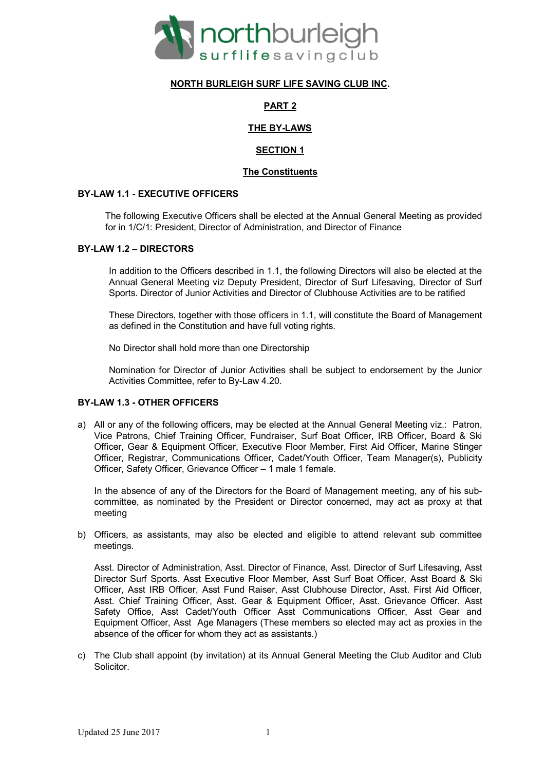

# **NORTH BURLEIGH SURF LIFE SAVING CLUB INC.**

# **PART 2**

# **THE BY-LAWS**

# **SECTION 1**

# **The Constituents**

### **BY-LAW 1.1 - EXECUTIVE OFFICERS**

The following Executive Officers shall be elected at the Annual General Meeting as provided for in 1/C/1: President, Director of Administration, and Director of Finance

### **BY-LAW 1.2 – DIRECTORS**

In addition to the Officers described in 1.1, the following Directors will also be elected at the Annual General Meeting viz Deputy President, Director of Surf Lifesaving, Director of Surf Sports. Director of Junior Activities and Director of Clubhouse Activities are to be ratified

These Directors, together with those officers in 1.1, will constitute the Board of Management as defined in the Constitution and have full voting rights.

No Director shall hold more than one Directorship

Nomination for Director of Junior Activities shall be subject to endorsement by the Junior Activities Committee, refer to By-Law 4.20.

# **BY-LAW 1.3 - OTHER OFFICERS**

a) All or any of the following officers, may be elected at the Annual General Meeting viz.: Patron, Vice Patrons, Chief Training Officer, Fundraiser, Surf Boat Officer, IRB Officer, Board & Ski Officer, Gear & Equipment Officer, Executive Floor Member, First Aid Officer, Marine Stinger Officer, Registrar, Communications Officer, Cadet/Youth Officer, Team Manager(s), Publicity Officer, Safety Officer, Grievance Officer – 1 male 1 female.

In the absence of any of the Directors for the Board of Management meeting, any of his subcommittee, as nominated by the President or Director concerned, may act as proxy at that meeting

b) Officers, as assistants, may also be elected and eligible to attend relevant sub committee meetings.

Asst. Director of Administration, Asst. Director of Finance, Asst. Director of Surf Lifesaving, Asst Director Surf Sports. Asst Executive Floor Member, Asst Surf Boat Officer, Asst Board & Ski Officer, Asst IRB Officer, Asst Fund Raiser, Asst Clubhouse Director, Asst. First Aid Officer, Asst. Chief Training Officer, Asst. Gear & Equipment Officer, Asst. Grievance Officer. Asst Safety Office, Asst Cadet/Youth Officer Asst Communications Officer, Asst Gear and Equipment Officer, Asst Age Managers (These members so elected may act as proxies in the absence of the officer for whom they act as assistants.)

c) The Club shall appoint (by invitation) at its Annual General Meeting the Club Auditor and Club Solicitor.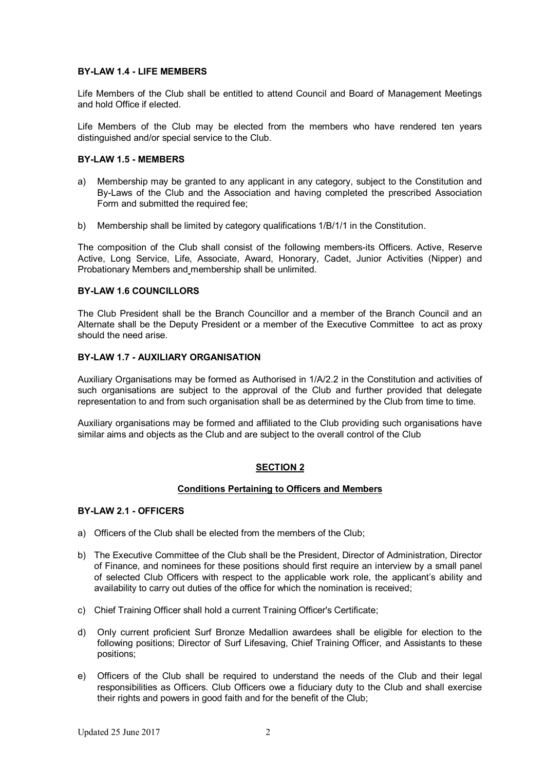### **BY-LAW 1.4 - LIFE MEMBERS**

Life Members of the Club shall be entitled to attend Council and Board of Management Meetings and hold Office if elected.

Life Members of the Club may be elected from the members who have rendered ten years distinguished and/or special service to the Club.

### **BY-LAW 1.5 - MEMBERS**

- a) Membership may be granted to any applicant in any category, subject to the Constitution and By-Laws of the Club and the Association and having completed the prescribed Association Form and submitted the required fee;
- b) Membership shall be limited by category qualifications 1/B/1/1 in the Constitution.

The composition of the Club shall consist of the following members-its Officers. Active, Reserve Active, Long Service, Life, Associate, Award, Honorary, Cadet, Junior Activities (Nipper) and Probationary Members and membership shall be unlimited.

### **BY-LAW 1.6 COUNCILLORS**

The Club President shall be the Branch Councillor and a member of the Branch Council and an Alternate shall be the Deputy President or a member of the Executive Committee to act as proxy should the need arise.

### **BY-LAW 1.7 - AUXILIARY ORGANISATION**

Auxiliary Organisations may be formed as Authorised in 1/A/2.2 in the Constitution and activities of such organisations are subject to the approval of the Club and further provided that delegate representation to and from such organisation shall be as determined by the Club from time to time.

Auxiliary organisations may be formed and affiliated to the Club providing such organisations have similar aims and objects as the Club and are subject to the overall control of the Club

# **SECTION 2**

# **Conditions Pertaining to Officers and Members**

#### **BY-LAW 2.1 - OFFICERS**

- a) Officers of the Club shall be elected from the members of the Club;
- b) The Executive Committee of the Club shall be the President, Director of Administration, Director of Finance, and nominees for these positions should first require an interview by a small panel of selected Club Officers with respect to the applicable work role, the applicant's ability and availability to carry out duties of the office for which the nomination is received;
- c) Chief Training Officer shall hold a current Training Officer's Certificate;
- d) Only current proficient Surf Bronze Medallion awardees shall be eligible for election to the following positions; Director of Surf Lifesaving, Chief Training Officer, and Assistants to these positions;
- e) Officers of the Club shall be required to understand the needs of the Club and their legal responsibilities as Officers. Club Officers owe a fiduciary duty to the Club and shall exercise their rights and powers in good faith and for the benefit of the Club;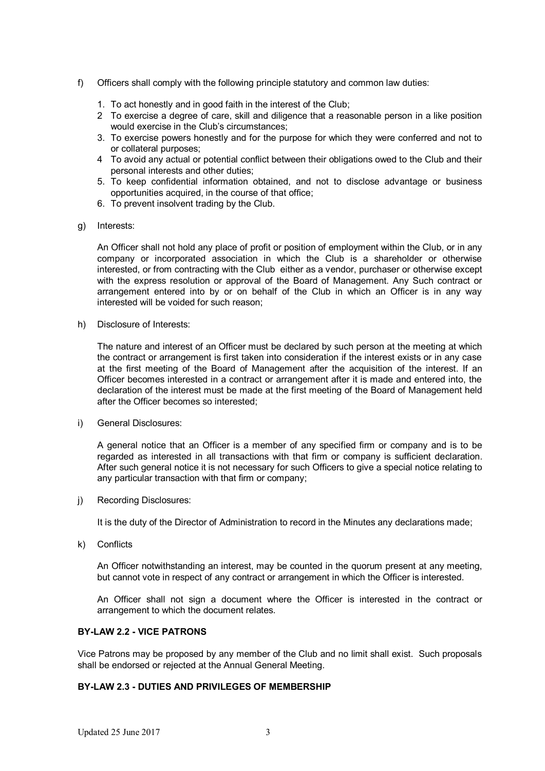- f) Officers shall comply with the following principle statutory and common law duties:
	- 1. To act honestly and in good faith in the interest of the Club;
	- 2 To exercise a degree of care, skill and diligence that a reasonable person in a like position would exercise in the Club's circumstances;
	- 3. To exercise powers honestly and for the purpose for which they were conferred and not to or collateral purposes;
	- 4 To avoid any actual or potential conflict between their obligations owed to the Club and their personal interests and other duties;
	- 5. To keep confidential information obtained, and not to disclose advantage or business opportunities acquired, in the course of that office;
	- 6. To prevent insolvent trading by the Club.
- g) Interests:

An Officer shall not hold any place of profit or position of employment within the Club, or in any company or incorporated association in which the Club is a shareholder or otherwise interested, or from contracting with the Club either as a vendor, purchaser or otherwise except with the express resolution or approval of the Board of Management. Any Such contract or arrangement entered into by or on behalf of the Club in which an Officer is in any way interested will be voided for such reason;

h) Disclosure of Interests:

The nature and interest of an Officer must be declared by such person at the meeting at which the contract or arrangement is first taken into consideration if the interest exists or in any case at the first meeting of the Board of Management after the acquisition of the interest. If an Officer becomes interested in a contract or arrangement after it is made and entered into, the declaration of the interest must be made at the first meeting of the Board of Management held after the Officer becomes so interested;

i) General Disclosures:

A general notice that an Officer is a member of any specified firm or company and is to be regarded as interested in all transactions with that firm or company is sufficient declaration. After such general notice it is not necessary for such Officers to give a special notice relating to any particular transaction with that firm or company;

j) Recording Disclosures:

It is the duty of the Director of Administration to record in the Minutes any declarations made;

k) Conflicts

An Officer notwithstanding an interest, may be counted in the quorum present at any meeting, but cannot vote in respect of any contract or arrangement in which the Officer is interested.

An Officer shall not sign a document where the Officer is interested in the contract or arrangement to which the document relates.

# **BY-LAW 2.2 - VICE PATRONS**

Vice Patrons may be proposed by any member of the Club and no limit shall exist. Such proposals shall be endorsed or rejected at the Annual General Meeting.

# **BY-LAW 2.3 - DUTIES AND PRIVILEGES OF MEMBERSHIP**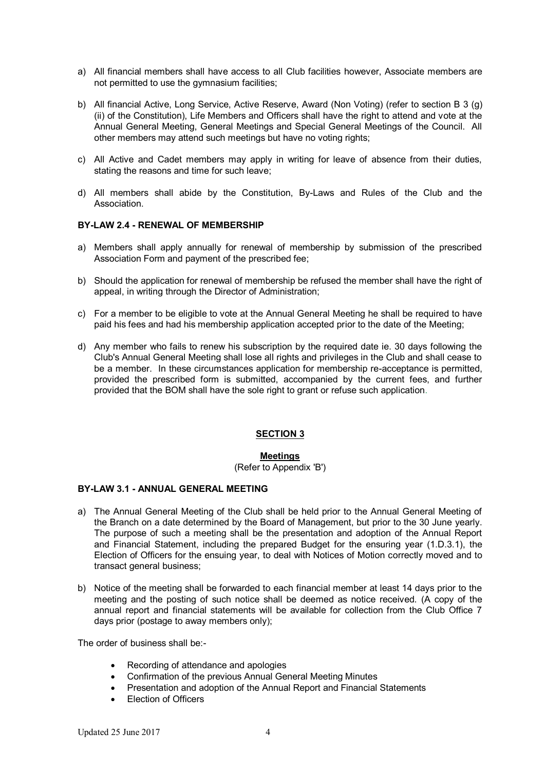- a) All financial members shall have access to all Club facilities however, Associate members are not permitted to use the gymnasium facilities;
- b) All financial Active, Long Service, Active Reserve, Award (Non Voting) (refer to section B 3 (g) (ii) of the Constitution), Life Members and Officers shall have the right to attend and vote at the Annual General Meeting, General Meetings and Special General Meetings of the Council. All other members may attend such meetings but have no voting rights;
- c) All Active and Cadet members may apply in writing for leave of absence from their duties, stating the reasons and time for such leave;
- d) All members shall abide by the Constitution, By-Laws and Rules of the Club and the Association.

# **BY-LAW 2.4 - RENEWAL OF MEMBERSHIP**

- a) Members shall apply annually for renewal of membership by submission of the prescribed Association Form and payment of the prescribed fee;
- b) Should the application for renewal of membership be refused the member shall have the right of appeal, in writing through the Director of Administration;
- c) For a member to be eligible to vote at the Annual General Meeting he shall be required to have paid his fees and had his membership application accepted prior to the date of the Meeting;
- d) Any member who fails to renew his subscription by the required date ie. 30 days following the Club's Annual General Meeting shall lose all rights and privileges in the Club and shall cease to be a member. In these circumstances application for membership re-acceptance is permitted, provided the prescribed form is submitted, accompanied by the current fees, and further provided that the BOM shall have the sole right to grant or refuse such application.

# **SECTION 3**

#### **Meetings**

(Refer to Appendix 'B')

### **BY-LAW 3.1 - ANNUAL GENERAL MEETING**

- a) The Annual General Meeting of the Club shall be held prior to the Annual General Meeting of the Branch on a date determined by the Board of Management, but prior to the 30 June yearly. The purpose of such a meeting shall be the presentation and adoption of the Annual Report and Financial Statement, including the prepared Budget for the ensuring year (1.D.3.1), the Election of Officers for the ensuing year, to deal with Notices of Motion correctly moved and to transact general business;
- b) Notice of the meeting shall be forwarded to each financial member at least 14 days prior to the meeting and the posting of such notice shall be deemed as notice received. (A copy of the annual report and financial statements will be available for collection from the Club Office 7 days prior (postage to away members only);

The order of business shall be:-

- Recording of attendance and apologies
- Confirmation of the previous Annual General Meeting Minutes
- Presentation and adoption of the Annual Report and Financial Statements
- Election of Officers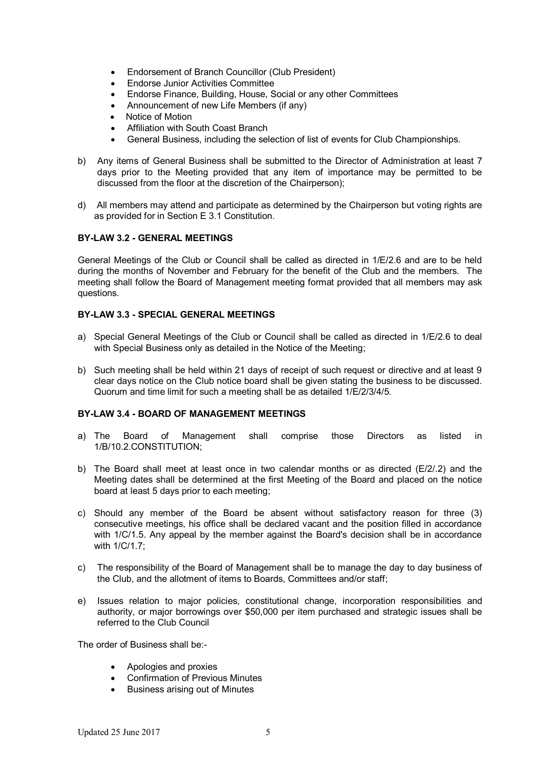- Endorsement of Branch Councillor (Club President)
- Endorse Junior Activities Committee
- Endorse Finance, Building, House, Social or any other Committees
- Announcement of new Life Members (if any)
- Notice of Motion
- Affiliation with South Coast Branch
- General Business, including the selection of list of events for Club Championships.
- b) Any items of General Business shall be submitted to the Director of Administration at least 7 days prior to the Meeting provided that any item of importance may be permitted to be discussed from the floor at the discretion of the Chairperson);
- d) All members may attend and participate as determined by the Chairperson but voting rights are as provided for in Section E 3.1 Constitution.

### **BY-LAW 3.2 - GENERAL MEETINGS**

General Meetings of the Club or Council shall be called as directed in 1/E/2.6 and are to be held during the months of November and February for the benefit of the Club and the members. The meeting shall follow the Board of Management meeting format provided that all members may ask questions.

# **BY-LAW 3.3 - SPECIAL GENERAL MEETINGS**

- a) Special General Meetings of the Club or Council shall be called as directed in 1/E/2.6 to deal with Special Business only as detailed in the Notice of the Meeting;
- b) Such meeting shall be held within 21 days of receipt of such request or directive and at least 9 clear days notice on the Club notice board shall be given stating the business to be discussed. Quorum and time limit for such a meeting shall be as detailed 1/E/2/3/4/5.

#### **BY-LAW 3.4 - BOARD OF MANAGEMENT MEETINGS**

- a) The Board of Management shall comprise those Directors as listed in 1/B/10.2.CONSTITUTION;
- b) The Board shall meet at least once in two calendar months or as directed (E/2/.2) and the Meeting dates shall be determined at the first Meeting of the Board and placed on the notice board at least 5 days prior to each meeting;
- c) Should any member of the Board be absent without satisfactory reason for three (3) consecutive meetings, his office shall be declared vacant and the position filled in accordance with 1/C/1.5. Any appeal by the member against the Board's decision shall be in accordance with 1/C/1.7;
- c) The responsibility of the Board of Management shall be to manage the day to day business of the Club, and the allotment of items to Boards, Committees and/or staff;
- e) Issues relation to major policies, constitutional change, incorporation responsibilities and authority, or major borrowings over \$50,000 per item purchased and strategic issues shall be referred to the Club Council

The order of Business shall be:-

- Apologies and proxies
- Confirmation of Previous Minutes
- Business arising out of Minutes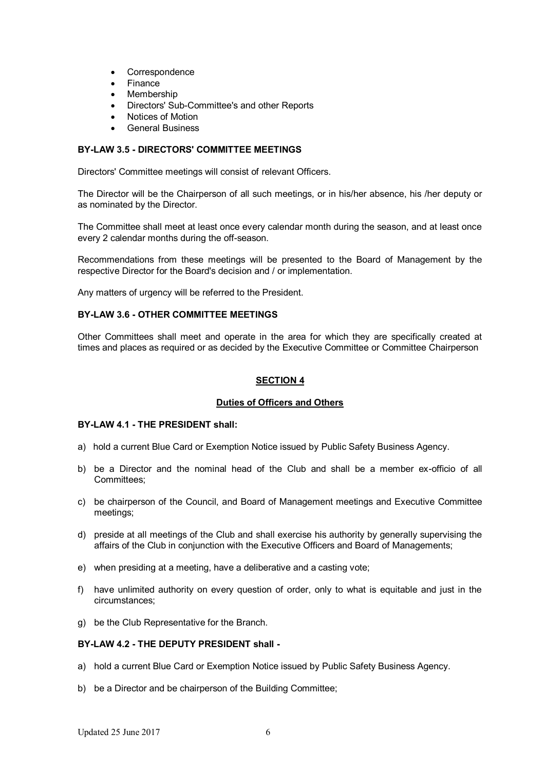- Correspondence
- Finance
- Membership
- Directors' Sub-Committee's and other Reports
- Notices of Motion
- General Business

# **BY-LAW 3.5 - DIRECTORS' COMMITTEE MEETINGS**

Directors' Committee meetings will consist of relevant Officers.

The Director will be the Chairperson of all such meetings, or in his/her absence, his /her deputy or as nominated by the Director.

The Committee shall meet at least once every calendar month during the season, and at least once every 2 calendar months during the off-season.

Recommendations from these meetings will be presented to the Board of Management by the respective Director for the Board's decision and / or implementation.

Any matters of urgency will be referred to the President.

#### **BY-LAW 3.6 - OTHER COMMITTEE MEETINGS**

Other Committees shall meet and operate in the area for which they are specifically created at times and places as required or as decided by the Executive Committee or Committee Chairperson

#### **SECTION 4**

#### **Duties of Officers and Others**

#### **BY-LAW 4.1 - THE PRESIDENT shall:**

- a) hold a current Blue Card or Exemption Notice issued by Public Safety Business Agency.
- b) be a Director and the nominal head of the Club and shall be a member ex-officio of all Committees;
- c) be chairperson of the Council, and Board of Management meetings and Executive Committee meetings;
- d) preside at all meetings of the Club and shall exercise his authority by generally supervising the affairs of the Club in conjunction with the Executive Officers and Board of Managements;
- e) when presiding at a meeting, have a deliberative and a casting vote;
- f) have unlimited authority on every question of order, only to what is equitable and just in the circumstances;
- g) be the Club Representative for the Branch.

# **BY-LAW 4.2 - THE DEPUTY PRESIDENT shall -**

- a) hold a current Blue Card or Exemption Notice issued by Public Safety Business Agency.
- b) be a Director and be chairperson of the Building Committee: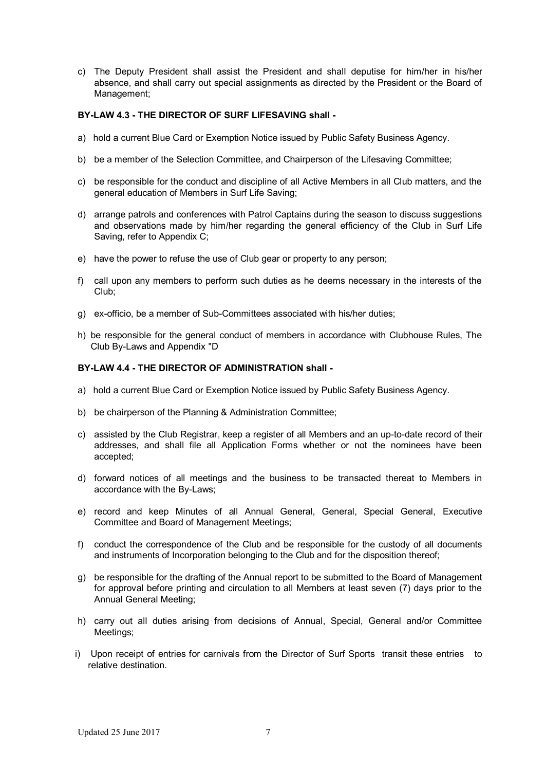c) The Deputy President shall assist the President and shall deputise for him/her in his/her absence, and shall carry out special assignments as directed by the President or the Board of Management;

# **BY-LAW 4.3 - THE DIRECTOR OF SURF LIFESAVING shall -**

- a) hold a current Blue Card or Exemption Notice issued by Public Safety Business Agency.
- b) be a member of the Selection Committee, and Chairperson of the Lifesaving Committee;
- c) be responsible for the conduct and discipline of all Active Members in all Club matters, and the general education of Members in Surf Life Saving;
- d) arrange patrols and conferences with Patrol Captains during the season to discuss suggestions and observations made by him/her regarding the general efficiency of the Club in Surf Life Saving, refer to Appendix C;
- e) have the power to refuse the use of Club gear or property to any person;
- f) call upon any members to perform such duties as he deems necessary in the interests of the Club;
- g) ex-officio, be a member of Sub-Committees associated with his/her duties;
- h) be responsible for the general conduct of members in accordance with Clubhouse Rules, The Club By-Laws and Appendix "D

### **BY-LAW 4.4 - THE DIRECTOR OF ADMINISTRATION shall -**

- a) hold a current Blue Card or Exemption Notice issued by Public Safety Business Agency.
- b) be chairperson of the Planning & Administration Committee;
- c) assisted by the Club Registrar, keep a register of all Members and an up-to-date record of their addresses, and shall file all Application Forms whether or not the nominees have been accepted;
- d) forward notices of all meetings and the business to be transacted thereat to Members in accordance with the By-Laws;
- e) record and keep Minutes of all Annual General, General, Special General, Executive Committee and Board of Management Meetings;
- f) conduct the correspondence of the Club and be responsible for the custody of all documents and instruments of Incorporation belonging to the Club and for the disposition thereof;
- g) be responsible for the drafting of the Annual report to be submitted to the Board of Management for approval before printing and circulation to all Members at least seven (7) days prior to the Annual General Meeting;
- h) carry out all duties arising from decisions of Annual, Special, General and/or Committee Meetings;
- i) Upon receipt of entries for carnivals from the Director of Surf Sports transit these entries to relative destination.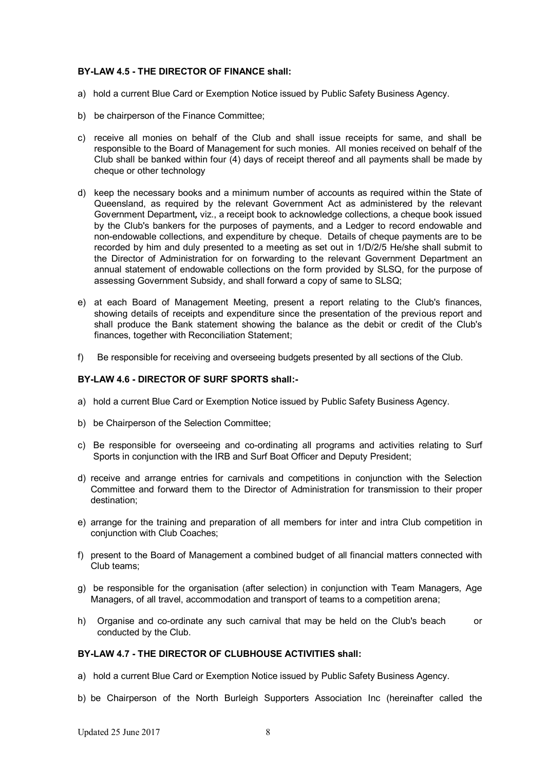### **BY-LAW 4.5 - THE DIRECTOR OF FINANCE shall:**

- a) hold a current Blue Card or Exemption Notice issued by Public Safety Business Agency.
- b) be chairperson of the Finance Committee;
- c) receive all monies on behalf of the Club and shall issue receipts for same, and shall be responsible to the Board of Management for such monies. All monies received on behalf of the Club shall be banked within four (4) days of receipt thereof and all payments shall be made by cheque or other technology
- d) keep the necessary books and a minimum number of accounts as required within the State of Queensland, as required by the relevant Government Act as administered by the relevant Government Department*,* viz., a receipt book to acknowledge collections, a cheque book issued by the Club's bankers for the purposes of payments, and a Ledger to record endowable and non-endowable collections, and expenditure by cheque. Details of cheque payments are to be recorded by him and duly presented to a meeting as set out in 1/D/2/5 He/she shall submit to the Director of Administration for on forwarding to the relevant Government Department an annual statement of endowable collections on the form provided by SLSQ, for the purpose of assessing Government Subsidy, and shall forward a copy of same to SLSQ;
- e) at each Board of Management Meeting, present a report relating to the Club's finances, showing details of receipts and expenditure since the presentation of the previous report and shall produce the Bank statement showing the balance as the debit or credit of the Club's finances, together with Reconciliation Statement:
- f) Be responsible for receiving and overseeing budgets presented by all sections of the Club.

#### **BY-LAW 4.6 - DIRECTOR OF SURF SPORTS shall:-**

- a) hold a current Blue Card or Exemption Notice issued by Public Safety Business Agency.
- b) be Chairperson of the Selection Committee;
- c) Be responsible for overseeing and co-ordinating all programs and activities relating to Surf Sports in conjunction with the IRB and Surf Boat Officer and Deputy President;
- d) receive and arrange entries for carnivals and competitions in conjunction with the Selection Committee and forward them to the Director of Administration for transmission to their proper destination;
- e) arrange for the training and preparation of all members for inter and intra Club competition in conjunction with Club Coaches;
- f) present to the Board of Management a combined budget of all financial matters connected with Club teams;
- g) be responsible for the organisation (after selection) in conjunction with Team Managers, Age Managers, of all travel, accommodation and transport of teams to a competition arena;
- h) Organise and co-ordinate any such carnival that may be held on the Club's beach or conducted by the Club.

#### **BY-LAW 4.7 - THE DIRECTOR OF CLUBHOUSE ACTIVITIES shall:**

- a) hold a current Blue Card or Exemption Notice issued by Public Safety Business Agency.
- b) be Chairperson of the North Burleigh Supporters Association Inc (hereinafter called the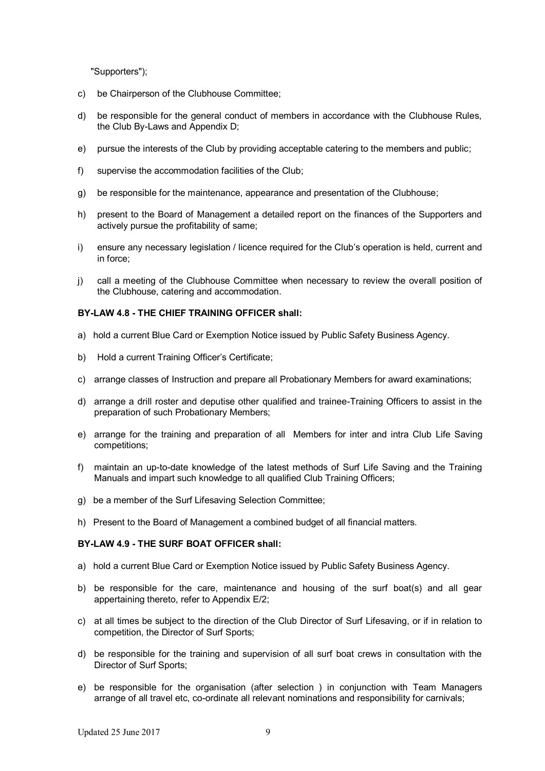"Supporters");

- c) be Chairperson of the Clubhouse Committee;
- d) be responsible for the general conduct of members in accordance with the Clubhouse Rules, the Club By-Laws and Appendix D;
- e) pursue the interests of the Club by providing acceptable catering to the members and public;
- f) supervise the accommodation facilities of the Club;
- g) be responsible for the maintenance, appearance and presentation of the Clubhouse;
- h) present to the Board of Management a detailed report on the finances of the Supporters and actively pursue the profitability of same;
- i) ensure any necessary legislation / licence required for the Club's operation is held, current and in force;
- j) call a meeting of the Clubhouse Committee when necessary to review the overall position of the Clubhouse, catering and accommodation.

### **BY-LAW 4.8 - THE CHIEF TRAINING OFFICER shall:**

- a) hold a current Blue Card or Exemption Notice issued by Public Safety Business Agency.
- b) Hold a current Training Officer's Certificate;
- c) arrange classes of Instruction and prepare all Probationary Members for award examinations;
- d) arrange a drill roster and deputise other qualified and trainee-Training Officers to assist in the preparation of such Probationary Members;
- e) arrange for the training and preparation of all Members for inter and intra Club Life Saving competitions;
- f) maintain an up-to-date knowledge of the latest methods of Surf Life Saving and the Training Manuals and impart such knowledge to all qualified Club Training Officers;
- g) be a member of the Surf Lifesaving Selection Committee;
- h) Present to the Board of Management a combined budget of all financial matters.

#### **BY-LAW 4.9 - THE SURF BOAT OFFICER shall:**

- a) hold a current Blue Card or Exemption Notice issued by Public Safety Business Agency.
- b) be responsible for the care, maintenance and housing of the surf boat(s) and all gear appertaining thereto, refer to Appendix E/2;
- c) at all times be subject to the direction of the Club Director of Surf Lifesaving, or if in relation to competition, the Director of Surf Sports;
- d) be responsible for the training and supervision of all surf boat crews in consultation with the Director of Surf Sports;
- e) be responsible for the organisation (after selection ) in conjunction with Team Managers arrange of all travel etc, co-ordinate all relevant nominations and responsibility for carnivals;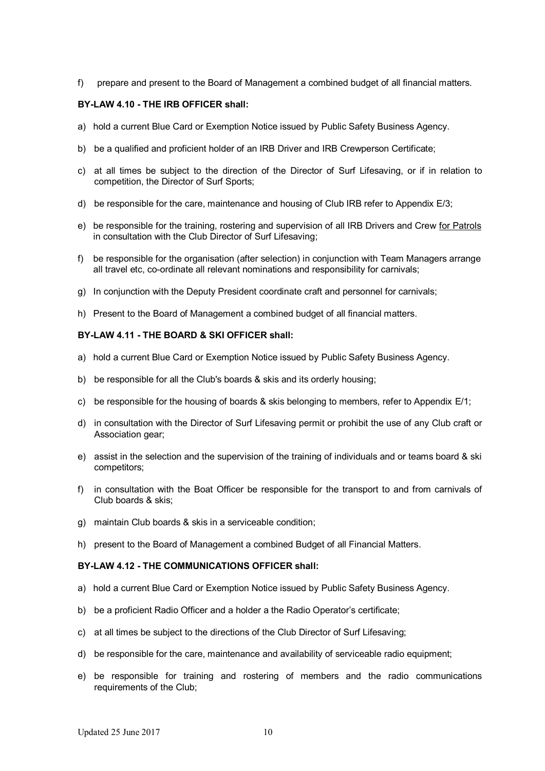f) prepare and present to the Board of Management a combined budget of all financial matters.

#### **BY-LAW 4.10 - THE IRB OFFICER shall:**

- a) hold a current Blue Card or Exemption Notice issued by Public Safety Business Agency.
- b) be a qualified and proficient holder of an IRB Driver and IRB Crewperson Certificate;
- c) at all times be subject to the direction of the Director of Surf Lifesaving, or if in relation to competition, the Director of Surf Sports;
- d) be responsible for the care, maintenance and housing of Club IRB refer to Appendix E/3;
- e) be responsible for the training, rostering and supervision of all IRB Drivers and Crew for Patrols in consultation with the Club Director of Surf Lifesaving;
- f) be responsible for the organisation (after selection) in conjunction with Team Managers arrange all travel etc, co-ordinate all relevant nominations and responsibility for carnivals;
- g) In conjunction with the Deputy President coordinate craft and personnel for carnivals;
- h) Present to the Board of Management a combined budget of all financial matters.

### **BY-LAW 4.11 - THE BOARD & SKI OFFICER shall:**

- a) hold a current Blue Card or Exemption Notice issued by Public Safety Business Agency.
- b) be responsible for all the Club's boards & skis and its orderly housing;
- c) be responsible for the housing of boards & skis belonging to members, refer to Appendix E/1;
- d) in consultation with the Director of Surf Lifesaving permit or prohibit the use of any Club craft or Association gear:
- e) assist in the selection and the supervision of the training of individuals and or teams board & ski competitors;
- f) in consultation with the Boat Officer be responsible for the transport to and from carnivals of Club boards & skis;
- g) maintain Club boards & skis in a serviceable condition;
- h) present to the Board of Management a combined Budget of all Financial Matters.

#### **BY-LAW 4.12 - THE COMMUNICATIONS OFFICER shall:**

- a) hold a current Blue Card or Exemption Notice issued by Public Safety Business Agency.
- b) be a proficient Radio Officer and a holder a the Radio Operator's certificate;
- c) at all times be subject to the directions of the Club Director of Surf Lifesaving;
- d) be responsible for the care, maintenance and availability of serviceable radio equipment;
- e) be responsible for training and rostering of members and the radio communications requirements of the Club;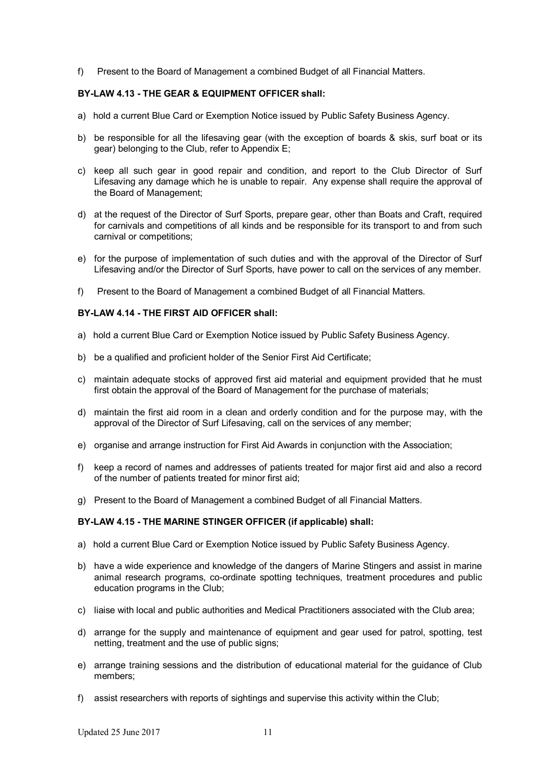f) Present to the Board of Management a combined Budget of all Financial Matters.

### **BY-LAW 4.13 - THE GEAR & EQUIPMENT OFFICER shall:**

- a) hold a current Blue Card or Exemption Notice issued by Public Safety Business Agency.
- b) be responsible for all the lifesaving gear (with the exception of boards & skis, surf boat or its gear) belonging to the Club, refer to Appendix E;
- c) keep all such gear in good repair and condition, and report to the Club Director of Surf Lifesaving any damage which he is unable to repair. Any expense shall require the approval of the Board of Management;
- d) at the request of the Director of Surf Sports, prepare gear, other than Boats and Craft, required for carnivals and competitions of all kinds and be responsible for its transport to and from such carnival or competitions;
- e) for the purpose of implementation of such duties and with the approval of the Director of Surf Lifesaving and/or the Director of Surf Sports, have power to call on the services of any member.
- f) Present to the Board of Management a combined Budget of all Financial Matters.

#### **BY-LAW 4.14 - THE FIRST AID OFFICER shall:**

- a) hold a current Blue Card or Exemption Notice issued by Public Safety Business Agency.
- b) be a qualified and proficient holder of the Senior First Aid Certificate;
- c) maintain adequate stocks of approved first aid material and equipment provided that he must first obtain the approval of the Board of Management for the purchase of materials;
- d) maintain the first aid room in a clean and orderly condition and for the purpose may, with the approval of the Director of Surf Lifesaving, call on the services of any member;
- e) organise and arrange instruction for First Aid Awards in conjunction with the Association;
- f) keep a record of names and addresses of patients treated for major first aid and also a record of the number of patients treated for minor first aid;
- g) Present to the Board of Management a combined Budget of all Financial Matters.

#### **BY-LAW 4.15 - THE MARINE STINGER OFFICER (if applicable) shall:**

- a) hold a current Blue Card or Exemption Notice issued by Public Safety Business Agency.
- b) have a wide experience and knowledge of the dangers of Marine Stingers and assist in marine animal research programs, co-ordinate spotting techniques, treatment procedures and public education programs in the Club;
- c) liaise with local and public authorities and Medical Practitioners associated with the Club area;
- d) arrange for the supply and maintenance of equipment and gear used for patrol, spotting, test netting, treatment and the use of public signs;
- e) arrange training sessions and the distribution of educational material for the guidance of Club members;
- f) assist researchers with reports of sightings and supervise this activity within the Club;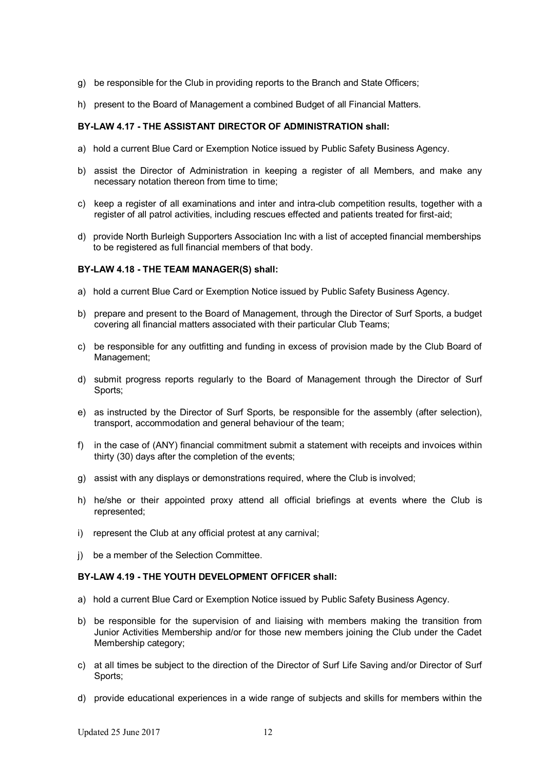- g) be responsible for the Club in providing reports to the Branch and State Officers;
- h) present to the Board of Management a combined Budget of all Financial Matters.

### **BY-LAW 4.17 - THE ASSISTANT DIRECTOR OF ADMINISTRATION shall:**

- a) hold a current Blue Card or Exemption Notice issued by Public Safety Business Agency.
- b) assist the Director of Administration in keeping a register of all Members, and make any necessary notation thereon from time to time;
- c) keep a register of all examinations and inter and intra-club competition results, together with a register of all patrol activities, including rescues effected and patients treated for first-aid;
- d) provide North Burleigh Supporters Association Inc with a list of accepted financial memberships to be registered as full financial members of that body.

### **BY-LAW 4.18 - THE TEAM MANAGER(S) shall:**

- a) hold a current Blue Card or Exemption Notice issued by Public Safety Business Agency.
- b) prepare and present to the Board of Management, through the Director of Surf Sports, a budget covering all financial matters associated with their particular Club Teams;
- c) be responsible for any outfitting and funding in excess of provision made by the Club Board of Management;
- d) submit progress reports regularly to the Board of Management through the Director of Surf Sports;
- e) as instructed by the Director of Surf Sports, be responsible for the assembly (after selection), transport, accommodation and general behaviour of the team;
- f) in the case of (ANY) financial commitment submit a statement with receipts and invoices within thirty (30) days after the completion of the events;
- g) assist with any displays or demonstrations required, where the Club is involved;
- h) he/she or their appointed proxy attend all official briefings at events where the Club is represented;
- i) represent the Club at any official protest at any carnival;
- j) be a member of the Selection Committee.

#### **BY-LAW 4.19 - THE YOUTH DEVELOPMENT OFFICER shall:**

- a) hold a current Blue Card or Exemption Notice issued by Public Safety Business Agency.
- b) be responsible for the supervision of and liaising with members making the transition from Junior Activities Membership and/or for those new members joining the Club under the Cadet Membership category;
- c) at all times be subject to the direction of the Director of Surf Life Saving and/or Director of Surf Sports;
- d) provide educational experiences in a wide range of subjects and skills for members within the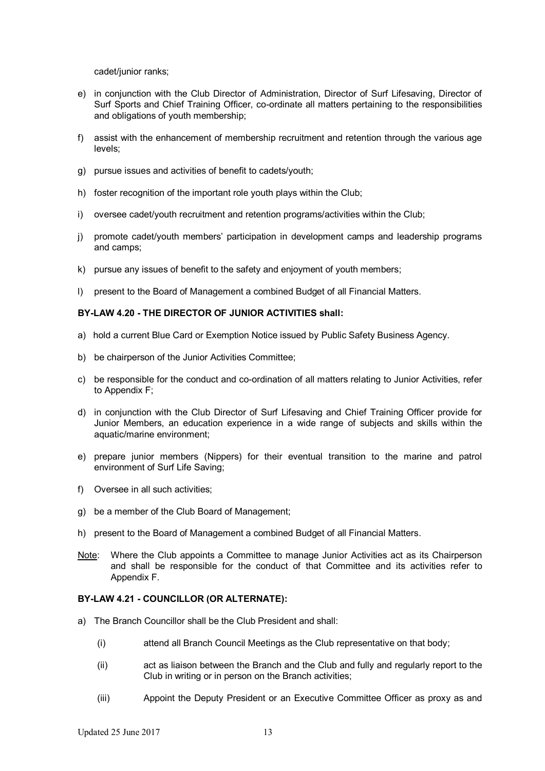cadet/junior ranks;

- e) in conjunction with the Club Director of Administration, Director of Surf Lifesaving, Director of Surf Sports and Chief Training Officer, co-ordinate all matters pertaining to the responsibilities and obligations of youth membership;
- f) assist with the enhancement of membership recruitment and retention through the various age levels;
- g) pursue issues and activities of benefit to cadets/youth;
- h) foster recognition of the important role youth plays within the Club;
- i) oversee cadet/youth recruitment and retention programs/activities within the Club;
- j) promote cadet/youth members' participation in development camps and leadership programs and camps;
- k) pursue any issues of benefit to the safety and enjoyment of youth members;
- l) present to the Board of Management a combined Budget of all Financial Matters.

### **BY-LAW 4.20 - THE DIRECTOR OF JUNIOR ACTIVITIES shall:**

- a) hold a current Blue Card or Exemption Notice issued by Public Safety Business Agency.
- b) be chairperson of the Junior Activities Committee;
- c) be responsible for the conduct and co-ordination of all matters relating to Junior Activities, refer to Appendix F;
- d) in conjunction with the Club Director of Surf Lifesaving and Chief Training Officer provide for Junior Members, an education experience in a wide range of subjects and skills within the aquatic/marine environment;
- e) prepare junior members (Nippers) for their eventual transition to the marine and patrol environment of Surf Life Saving;
- f) Oversee in all such activities;
- g) be a member of the Club Board of Management;
- h) present to the Board of Management a combined Budget of all Financial Matters.
- Note: Where the Club appoints a Committee to manage Junior Activities act as its Chairperson and shall be responsible for the conduct of that Committee and its activities refer to Appendix F.

#### **BY-LAW 4.21 - COUNCILLOR (OR ALTERNATE):**

- a) The Branch Councillor shall be the Club President and shall:
	- (i) attend all Branch Council Meetings as the Club representative on that body;
	- (ii) act as liaison between the Branch and the Club and fully and regularly report to the Club in writing or in person on the Branch activities;
	- (iii) Appoint the Deputy President or an Executive Committee Officer as proxy as and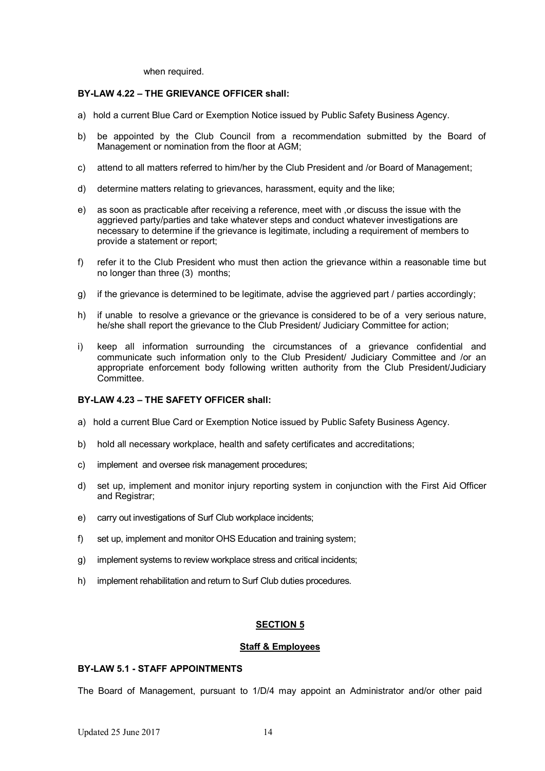when required.

# **BY-LAW 4.22 – THE GRIEVANCE OFFICER shall:**

- a) hold a current Blue Card or Exemption Notice issued by Public Safety Business Agency.
- b) be appointed by the Club Council from a recommendation submitted by the Board of Management or nomination from the floor at AGM:
- c) attend to all matters referred to him/her by the Club President and /or Board of Management;
- d) determine matters relating to grievances, harassment, equity and the like;
- e) as soon as practicable after receiving a reference, meet with ,or discuss the issue with the aggrieved party/parties and take whatever steps and conduct whatever investigations are necessary to determine if the grievance is legitimate, including a requirement of members to provide a statement or report;
- f) refer it to the Club President who must then action the grievance within a reasonable time but no longer than three (3) months;
- g) if the grievance is determined to be legitimate, advise the aggrieved part / parties accordingly;
- h) if unable to resolve a grievance or the grievance is considered to be of a very serious nature, he/she shall report the grievance to the Club President/ Judiciary Committee for action;
- i) keep all information surrounding the circumstances of a grievance confidential and communicate such information only to the Club President/ Judiciary Committee and /or an appropriate enforcement body following written authority from the Club President/Judiciary Committee.

# **BY-LAW 4.23 – THE SAFETY OFFICER shall:**

- a) hold a current Blue Card or Exemption Notice issued by Public Safety Business Agency.
- b) hold all necessary workplace, health and safety certificates and accreditations;
- c) implement and oversee risk management procedures;
- d) set up, implement and monitor injury reporting system in conjunction with the First Aid Officer and Registrar;
- e) carry out investigations of Surf Club workplace incidents;
- f) set up, implement and monitor OHS Education and training system;
- g) implement systems to review workplace stress and critical incidents;
- h) implement rehabilitation and return to Surf Club duties procedures.

# **SECTION 5**

#### **Staff & Employees**

# **BY-LAW 5.1 - STAFF APPOINTMENTS**

The Board of Management, pursuant to 1/D/4 may appoint an Administrator and/or other paid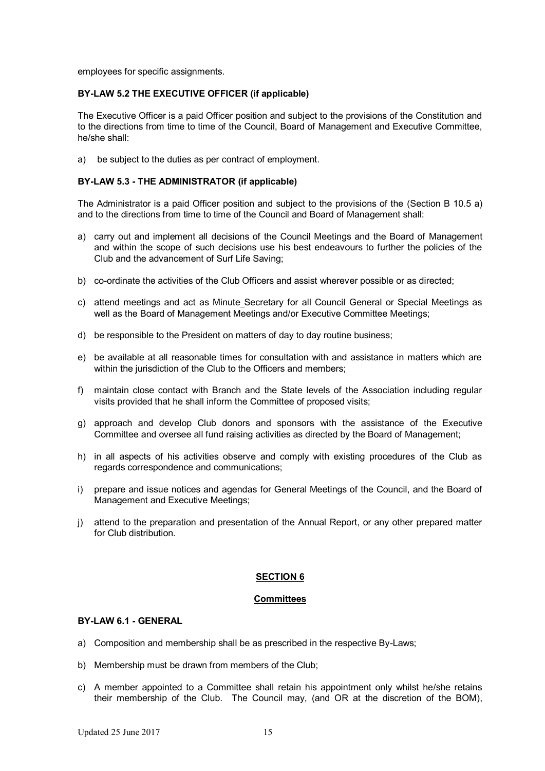employees for specific assignments.

#### **BY-LAW 5.2 THE EXECUTIVE OFFICER (if applicable)**

The Executive Officer is a paid Officer position and subject to the provisions of the Constitution and to the directions from time to time of the Council, Board of Management and Executive Committee, he/she shall:

a) be subject to the duties as per contract of employment.

### **BY-LAW 5.3 - THE ADMINISTRATOR (if applicable)**

The Administrator is a paid Officer position and subject to the provisions of the (Section B 10.5 a) and to the directions from time to time of the Council and Board of Management shall:

- a) carry out and implement all decisions of the Council Meetings and the Board of Management and within the scope of such decisions use his best endeavours to further the policies of the Club and the advancement of Surf Life Saving;
- b) co-ordinate the activities of the Club Officers and assist wherever possible or as directed;
- c) attend meetings and act as Minute Secretary for all Council General or Special Meetings as well as the Board of Management Meetings and/or Executive Committee Meetings;
- d) be responsible to the President on matters of day to day routine business;
- e) be available at all reasonable times for consultation with and assistance in matters which are within the jurisdiction of the Club to the Officers and members:
- f) maintain close contact with Branch and the State levels of the Association including regular visits provided that he shall inform the Committee of proposed visits;
- g) approach and develop Club donors and sponsors with the assistance of the Executive Committee and oversee all fund raising activities as directed by the Board of Management;
- h) in all aspects of his activities observe and comply with existing procedures of the Club as regards correspondence and communications;
- i) prepare and issue notices and agendas for General Meetings of the Council, and the Board of Management and Executive Meetings;
- j) attend to the preparation and presentation of the Annual Report, or any other prepared matter for Club distribution.

# **SECTION 6**

#### **Committees**

# **BY-LAW 6.1 - GENERAL**

- a) Composition and membership shall be as prescribed in the respective By-Laws;
- b) Membership must be drawn from members of the Club;
- c) A member appointed to a Committee shall retain his appointment only whilst he/she retains their membership of the Club. The Council may, (and OR at the discretion of the BOM),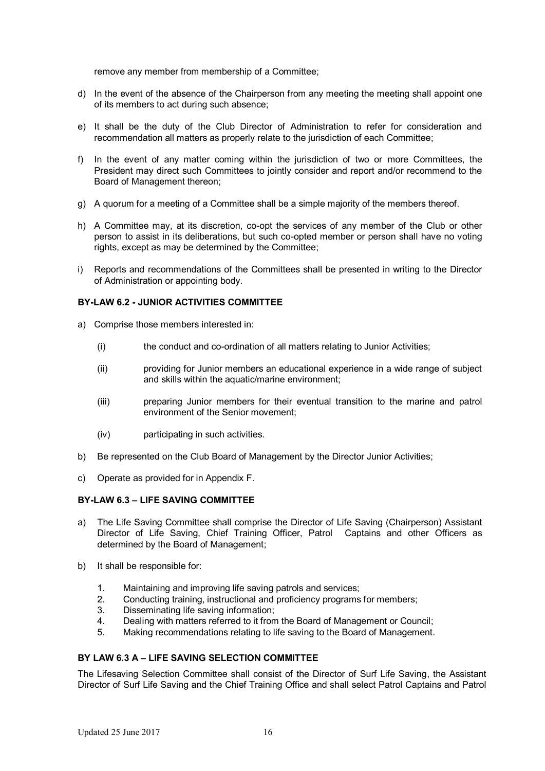remove any member from membership of a Committee;

- d) In the event of the absence of the Chairperson from any meeting the meeting shall appoint one of its members to act during such absence;
- e) It shall be the duty of the Club Director of Administration to refer for consideration and recommendation all matters as properly relate to the jurisdiction of each Committee;
- f) In the event of any matter coming within the jurisdiction of two or more Committees, the President may direct such Committees to jointly consider and report and/or recommend to the Board of Management thereon;
- g) A quorum for a meeting of a Committee shall be a simple majority of the members thereof.
- h) A Committee may, at its discretion, co-opt the services of any member of the Club or other person to assist in its deliberations, but such co-opted member or person shall have no voting rights, except as may be determined by the Committee;
- i) Reports and recommendations of the Committees shall be presented in writing to the Director of Administration or appointing body.

# **BY-LAW 6.2 - JUNIOR ACTIVITIES COMMITTEE**

- a) Comprise those members interested in:
	- (i) the conduct and co-ordination of all matters relating to Junior Activities;
	- (ii) providing for Junior members an educational experience in a wide range of subject and skills within the aquatic/marine environment;
	- (iii) preparing Junior members for their eventual transition to the marine and patrol environment of the Senior movement;
	- (iv) participating in such activities.
- b) Be represented on the Club Board of Management by the Director Junior Activities;
- c) Operate as provided for in Appendix F.

# **BY-LAW 6.3 – LIFE SAVING COMMITTEE**

- a) The Life Saving Committee shall comprise the Director of Life Saving (Chairperson) Assistant Director of Life Saving, Chief Training Officer, Patrol Captains and other Officers as determined by the Board of Management;
- b) It shall be responsible for:
	- 1. Maintaining and improving life saving patrols and services;
	- 2. Conducting training, instructional and proficiency programs for members;
	- 3. Disseminating life saving information;
	- 4. Dealing with matters referred to it from the Board of Management or Council;
	- 5. Making recommendations relating to life saving to the Board of Management.

# **BY LAW 6.3 A – LIFE SAVING SELECTION COMMITTEE**

The Lifesaving Selection Committee shall consist of the Director of Surf Life Saving, the Assistant Director of Surf Life Saving and the Chief Training Office and shall select Patrol Captains and Patrol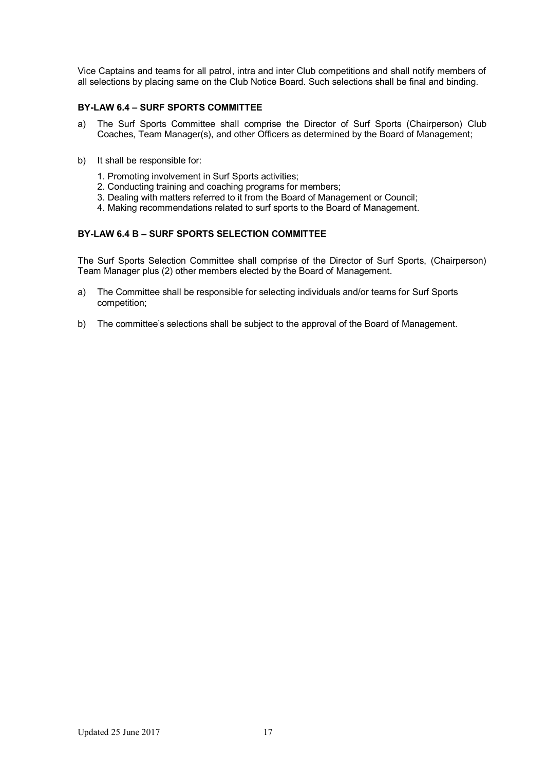Vice Captains and teams for all patrol, intra and inter Club competitions and shall notify members of all selections by placing same on the Club Notice Board. Such selections shall be final and binding.

# **BY-LAW 6.4 – SURF SPORTS COMMITTEE**

- a) The Surf Sports Committee shall comprise the Director of Surf Sports (Chairperson) Club Coaches, Team Manager(s), and other Officers as determined by the Board of Management;
- b) It shall be responsible for:
	- 1. Promoting involvement in Surf Sports activities;
	- 2. Conducting training and coaching programs for members;
	- 3. Dealing with matters referred to it from the Board of Management or Council;
	- 4. Making recommendations related to surf sports to the Board of Management.

# **BY-LAW 6.4 B – SURF SPORTS SELECTION COMMITTEE**

The Surf Sports Selection Committee shall comprise of the Director of Surf Sports, (Chairperson) Team Manager plus (2) other members elected by the Board of Management.

- a) The Committee shall be responsible for selecting individuals and/or teams for Surf Sports competition;
- b) The committee's selections shall be subject to the approval of the Board of Management.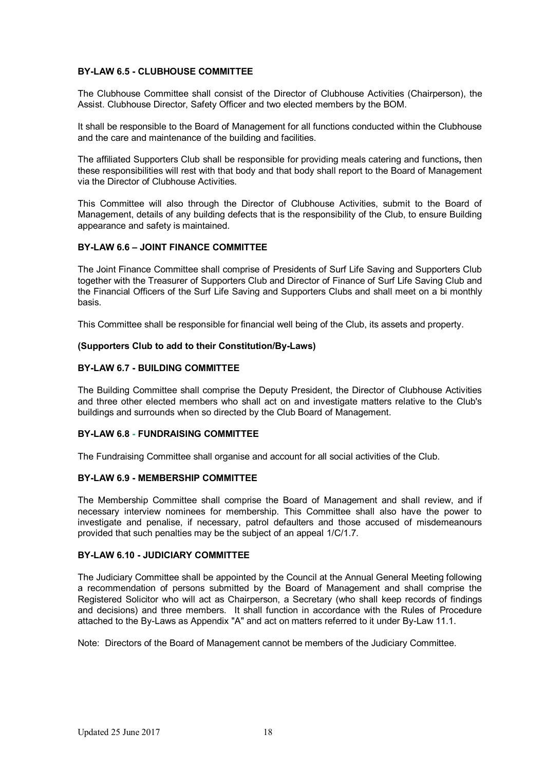# **BY-LAW 6.5 - CLUBHOUSE COMMITTEE**

The Clubhouse Committee shall consist of the Director of Clubhouse Activities (Chairperson), the Assist. Clubhouse Director, Safety Officer and two elected members by the BOM.

It shall be responsible to the Board of Management for all functions conducted within the Clubhouse and the care and maintenance of the building and facilities.

The affiliated Supporters Club shall be responsible for providing meals catering and functions**,** then these responsibilities will rest with that body and that body shall report to the Board of Management via the Director of Clubhouse Activities.

This Committee will also through the Director of Clubhouse Activities, submit to the Board of Management, details of any building defects that is the responsibility of the Club, to ensure Building appearance and safety is maintained.

# **BY-LAW 6.6 – JOINT FINANCE COMMITTEE**

The Joint Finance Committee shall comprise of Presidents of Surf Life Saving and Supporters Club together with the Treasurer of Supporters Club and Director of Finance of Surf Life Saving Club and the Financial Officers of the Surf Life Saving and Supporters Clubs and shall meet on a bi monthly basis.

This Committee shall be responsible for financial well being of the Club, its assets and property.

# **(Supporters Club to add to their Constitution/By-Laws)**

# **BY-LAW 6.7 - BUILDING COMMITTEE**

The Building Committee shall comprise the Deputy President, the Director of Clubhouse Activities and three other elected members who shall act on and investigate matters relative to the Club's buildings and surrounds when so directed by the Club Board of Management.

# **BY-LAW 6.8 - FUNDRAISING COMMITTEE**

The Fundraising Committee shall organise and account for all social activities of the Club.

# **BY-LAW 6.9 - MEMBERSHIP COMMITTEE**

The Membership Committee shall comprise the Board of Management and shall review, and if necessary interview nominees for membership. This Committee shall also have the power to investigate and penalise, if necessary, patrol defaulters and those accused of misdemeanours provided that such penalties may be the subject of an appeal 1/C/1.7.

# **BY-LAW 6.10 - JUDICIARY COMMITTEE**

The Judiciary Committee shall be appointed by the Council at the Annual General Meeting following a recommendation of persons submitted by the Board of Management and shall comprise the Registered Solicitor who will act as Chairperson, a Secretary (who shall keep records of findings and decisions) and three members. It shall function in accordance with the Rules of Procedure attached to the By-Laws as Appendix "A" and act on matters referred to it under By-Law 11.1.

Note: Directors of the Board of Management cannot be members of the Judiciary Committee.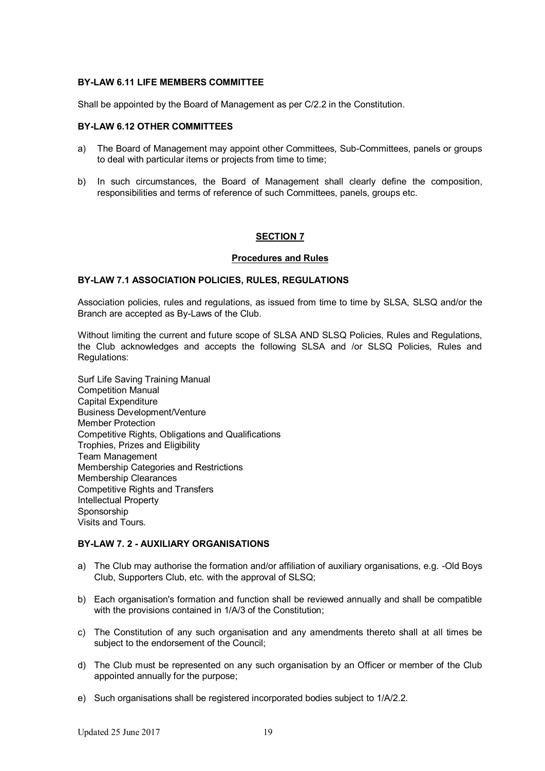# **BY-LAW 6.11 LIFE MEMBERS COMMITTEE**

Shall be appointed by the Board of Management as per C/2.2 in the Constitution.

#### **BY-LAW 6.12 OTHER COMMITTEES**

- a) The Board of Management may appoint other Committees, Sub-Committees, panels or groups to deal with particular items or projects from time to time;
- b) In such circumstances, the Board of Management shall clearly define the composition, responsibilities and terms of reference of such Committees, panels, groups etc.

#### **SECTION 7**

#### **Procedures and Rules**

#### **BY-LAW 7.1 ASSOCIATION POLICIES, RULES, REGULATIONS**

Association policies, rules and regulations, as issued from time to time by SLSA, SLSQ and/or the Branch are accepted as By-Laws of the Club.

Without limiting the current and future scope of SLSA AND SLSQ Policies, Rules and Regulations, the Club acknowledges and accepts the following SLSA and /or SLSQ Policies, Rules and Regulations:

Surf Life Saving Training Manual Competition Manual Capital Expenditure Business Development/Venture Member Protection Competitive Rights, Obligations and Qualifications Trophies, Prizes and Eligibility Team Management Membership Categories and Restrictions Membership Clearances Competitive Rights and Transfers Intellectual Property Sponsorship Visits and Tours.

# **BY-LAW 7. 2 - AUXILIARY ORGANISATIONS**

- a) The Club may authorise the formation and/or affiliation of auxiliary organisations, e.g. -Old Boys Club, Supporters Club, etc. with the approval of SLSQ;
- b) Each organisation's formation and function shall be reviewed annually and shall be compatible with the provisions contained in  $1/A/3$  of the Constitution;
- c) The Constitution of any such organisation and any amendments thereto shall at all times be subject to the endorsement of the Council;
- d) The Club must be represented on any such organisation by an Officer or member of the Club appointed annually for the purpose;
- e) Such organisations shall be registered incorporated bodies subject to 1/A/2.2.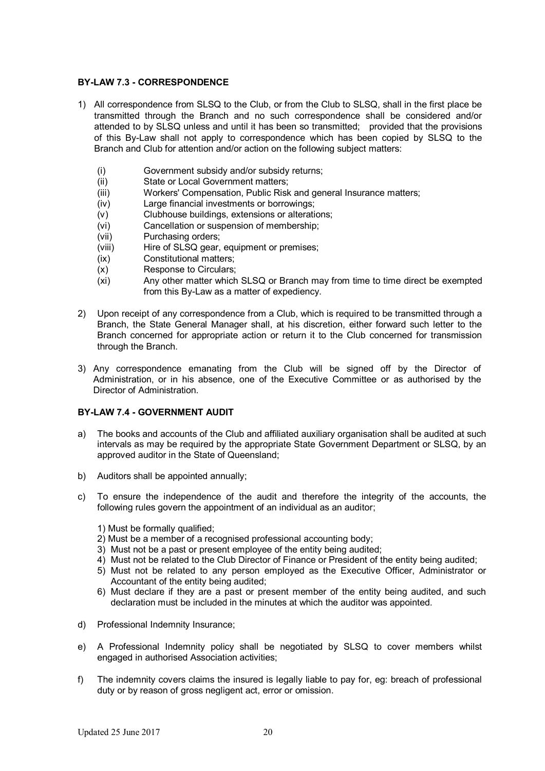# **BY-LAW 7.3 - CORRESPONDENCE**

- 1) All correspondence from SLSQ to the Club, or from the Club to SLSQ, shall in the first place be transmitted through the Branch and no such correspondence shall be considered and/or attended to by SLSQ unless and until it has been so transmitted; provided that the provisions of this By-Law shall not apply to correspondence which has been copied by SLSQ to the Branch and Club for attention and/or action on the following subject matters:
	- (i) Government subsidy and/or subsidy returns;
	- (ii) State or Local Government matters;
	- (iii) Workers' Compensation, Public Risk and general Insurance matters;
	- (iv) Large financial investments or borrowings;
	- (v) Clubhouse buildings, extensions or alterations;
	- (vi) Cancellation or suspension of membership;
	- (vii) Purchasing orders;
	- (viii) Hire of SLSQ gear, equipment or premises;
	- (ix) Constitutional matters;
	- (x) Response to Circulars;
	- (xi) Any other matter which SLSQ or Branch may from time to time direct be exempted from this By-Law as a matter of expediency.
- 2) Upon receipt of any correspondence from a Club, which is required to be transmitted through a Branch, the State General Manager shall, at his discretion, either forward such letter to the Branch concerned for appropriate action or return it to the Club concerned for transmission through the Branch.
- 3) Any correspondence emanating from the Club will be signed off by the Director of Administration, or in his absence, one of the Executive Committee or as authorised by the Director of Administration.

# **BY-LAW 7.4 - GOVERNMENT AUDIT**

- a) The books and accounts of the Club and affiliated auxiliary organisation shall be audited at such intervals as may be required by the appropriate State Government Department or SLSQ, by an approved auditor in the State of Queensland;
- b) Auditors shall be appointed annually;
- c) To ensure the independence of the audit and therefore the integrity of the accounts, the following rules govern the appointment of an individual as an auditor;
	- 1) Must be formally qualified;
	- 2) Must be a member of a recognised professional accounting body;
	- 3) Must not be a past or present employee of the entity being audited;
	- 4) Must not be related to the Club Director of Finance or President of the entity being audited;
	- 5) Must not be related to any person employed as the Executive Officer, Administrator or Accountant of the entity being audited;
	- 6) Must declare if they are a past or present member of the entity being audited, and such declaration must be included in the minutes at which the auditor was appointed.
- d) Professional Indemnity Insurance;
- e) A Professional Indemnity policy shall be negotiated by SLSQ to cover members whilst engaged in authorised Association activities;
- f) The indemnity covers claims the insured is legally liable to pay for, eg: breach of professional duty or by reason of gross negligent act, error or omission.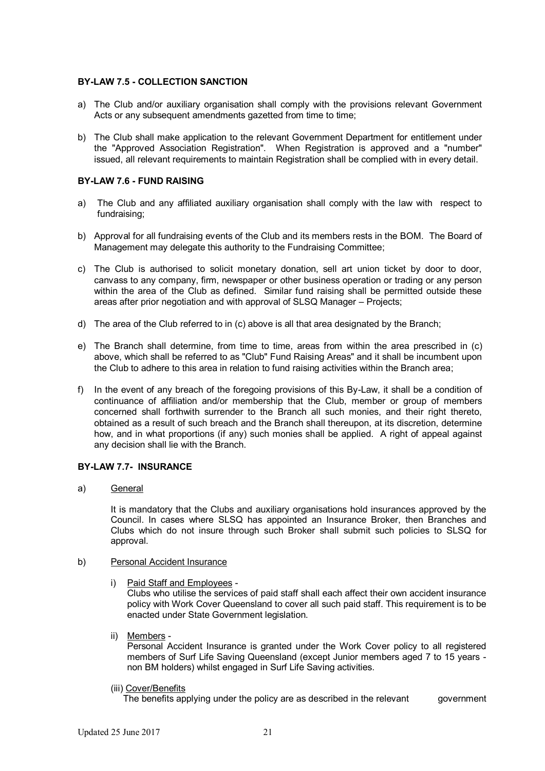# **BY-LAW 7.5 - COLLECTION SANCTION**

- a) The Club and/or auxiliary organisation shall comply with the provisions relevant Government Acts or any subsequent amendments gazetted from time to time;
- b) The Club shall make application to the relevant Government Department for entitlement under the "Approved Association Registration". When Registration is approved and a "number" issued, all relevant requirements to maintain Registration shall be complied with in every detail.

# **BY-LAW 7.6 - FUND RAISING**

- a) The Club and any affiliated auxiliary organisation shall comply with the law with respect to fundraising;
- b) Approval for all fundraising events of the Club and its members rests in the BOM. The Board of Management may delegate this authority to the Fundraising Committee;
- c) The Club is authorised to solicit monetary donation, sell art union ticket by door to door, canvass to any company, firm, newspaper or other business operation or trading or any person within the area of the Club as defined. Similar fund raising shall be permitted outside these areas after prior negotiation and with approval of SLSQ Manager – Projects;
- d) The area of the Club referred to in (c) above is all that area designated by the Branch;
- e) The Branch shall determine, from time to time, areas from within the area prescribed in (c) above, which shall be referred to as "Club" Fund Raising Areas" and it shall be incumbent upon the Club to adhere to this area in relation to fund raising activities within the Branch area;
- f) In the event of any breach of the foregoing provisions of this By-Law, it shall be a condition of continuance of affiliation and/or membership that the Club, member or group of members concerned shall forthwith surrender to the Branch all such monies, and their right thereto, obtained as a result of such breach and the Branch shall thereupon, at its discretion, determine how, and in what proportions (if any) such monies shall be applied. A right of appeal against any decision shall lie with the Branch.

# **BY-LAW 7.7- INSURANCE**

a) General

It is mandatory that the Clubs and auxiliary organisations hold insurances approved by the Council. In cases where SLSQ has appointed an Insurance Broker, then Branches and Clubs which do not insure through such Broker shall submit such policies to SLSQ for approval.

# b) Personal Accident Insurance

i) Paid Staff and Employees -

Clubs who utilise the services of paid staff shall each affect their own accident insurance policy with Work Cover Queensland to cover all such paid staff. This requirement is to be enacted under State Government legislation.

ii) Members -

Personal Accident Insurance is granted under the Work Cover policy to all registered members of Surf Life Saving Queensland (except Junior members aged 7 to 15 years non BM holders) whilst engaged in Surf Life Saving activities.

(iii) Cover/Benefits

The benefits applying under the policy are as described in the relevant government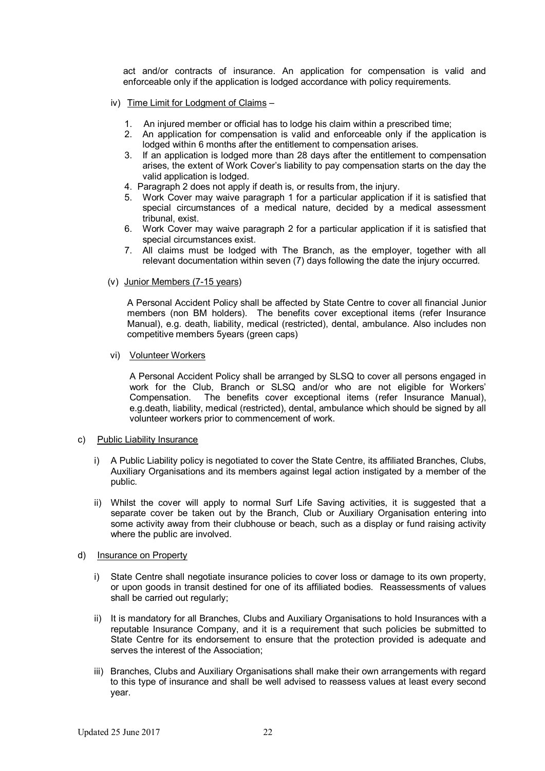act and/or contracts of insurance. An application for compensation is valid and enforceable only if the application is lodged accordance with policy requirements.

- iv) Time Limit for Lodgment of Claims
	- 1. An injured member or official has to lodge his claim within a prescribed time;
	- 2. An application for compensation is valid and enforceable only if the application is lodged within 6 months after the entitlement to compensation arises.
	- 3. If an application is lodged more than 28 days after the entitlement to compensation arises, the extent of Work Cover's liability to pay compensation starts on the day the valid application is lodged.
	- 4. Paragraph 2 does not apply if death is, or results from, the injury.
	- 5. Work Cover may waive paragraph 1 for a particular application if it is satisfied that special circumstances of a medical nature, decided by a medical assessment tribunal, exist.
	- 6. Work Cover may waive paragraph 2 for a particular application if it is satisfied that special circumstances exist.
	- 7. All claims must be lodged with The Branch, as the employer, together with all relevant documentation within seven (7) days following the date the injury occurred.
- (v) Junior Members (7-15 years)

A Personal Accident Policy shall be affected by State Centre to cover all financial Junior members (non BM holders). The benefits cover exceptional items (refer Insurance Manual), e.g. death, liability, medical (restricted), dental, ambulance. Also includes non competitive members 5years (green caps)

vi) Volunteer Workers

A Personal Accident Policy shall be arranged by SLSQ to cover all persons engaged in work for the Club, Branch or SLSQ and/or who are not eligible for Workers' Compensation. The benefits cover exceptional items (refer Insurance Manual), e.g.death, liability, medical (restricted), dental, ambulance which should be signed by all volunteer workers prior to commencement of work.

#### c) Public Liability Insurance

- i) A Public Liability policy is negotiated to cover the State Centre, its affiliated Branches, Clubs, Auxiliary Organisations and its members against legal action instigated by a member of the public.
- ii) Whilst the cover will apply to normal Surf Life Saving activities, it is suggested that a separate cover be taken out by the Branch, Club or Auxiliary Organisation entering into some activity away from their clubhouse or beach, such as a display or fund raising activity where the public are involved.

#### d) Insurance on Property

- i) State Centre shall negotiate insurance policies to cover loss or damage to its own property, or upon goods in transit destined for one of its affiliated bodies. Reassessments of values shall be carried out regularly;
- ii) It is mandatory for all Branches, Clubs and Auxiliary Organisations to hold Insurances with a reputable Insurance Company, and it is a requirement that such policies be submitted to State Centre for its endorsement to ensure that the protection provided is adequate and serves the interest of the Association;
- iii) Branches, Clubs and Auxiliary Organisations shall make their own arrangements with regard to this type of insurance and shall be well advised to reassess values at least every second year.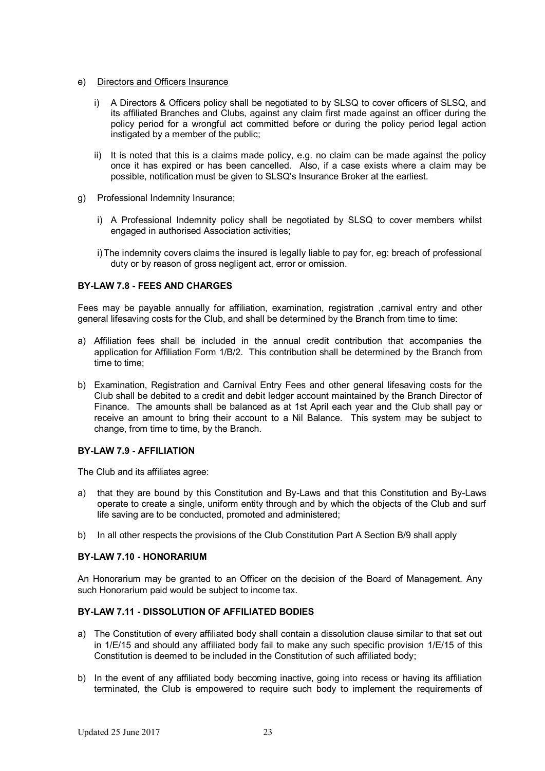- e) Directors and Officers Insurance
	- i) A Directors & Officers policy shall be negotiated to by SLSQ to cover officers of SLSQ, and its affiliated Branches and Clubs, against any claim first made against an officer during the policy period for a wrongful act committed before or during the policy period legal action instigated by a member of the public;
	- ii) It is noted that this is a claims made policy, e.g. no claim can be made against the policy once it has expired or has been cancelled. Also, if a case exists where a claim may be possible, notification must be given to SLSQ's Insurance Broker at the earliest.
- g) Professional Indemnity Insurance;
	- i) A Professional Indemnity policy shall be negotiated by SLSQ to cover members whilst engaged in authorised Association activities;
	- i)The indemnity covers claims the insured is legally liable to pay for, eg: breach of professional duty or by reason of gross negligent act, error or omission.

# **BY-LAW 7.8 - FEES AND CHARGES**

Fees may be payable annually for affiliation, examination, registration, carnival entry and other general lifesaving costs for the Club, and shall be determined by the Branch from time to time:

- a) Affiliation fees shall be included in the annual credit contribution that accompanies the application for Affiliation Form 1/B/2. This contribution shall be determined by the Branch from time to time;
- b) Examination, Registration and Carnival Entry Fees and other general lifesaving costs for the Club shall be debited to a credit and debit ledger account maintained by the Branch Director of Finance. The amounts shall be balanced as at 1st April each year and the Club shall pay or receive an amount to bring their account to a Nil Balance. This system may be subject to change, from time to time, by the Branch.

# **BY-LAW 7.9 - AFFILIATION**

The Club and its affiliates agree:

- a) that they are bound by this Constitution and By-Laws and that this Constitution and By-Laws operate to create a single, uniform entity through and by which the objects of the Club and surf life saving are to be conducted, promoted and administered;
- b) In all other respects the provisions of the Club Constitution Part A Section B/9 shall apply

# **BY-LAW 7.10 - HONORARIUM**

An Honorarium may be granted to an Officer on the decision of the Board of Management. Any such Honorarium paid would be subject to income tax.

# **BY-LAW 7.11 - DISSOLUTION OF AFFILIATED BODIES**

- a) The Constitution of every affiliated body shall contain a dissolution clause similar to that set out in 1/E/15 and should any affiliated body fail to make any such specific provision 1/E/15 of this Constitution is deemed to be included in the Constitution of such affiliated body;
- b) In the event of any affiliated body becoming inactive, going into recess or having its affiliation terminated, the Club is empowered to require such body to implement the requirements of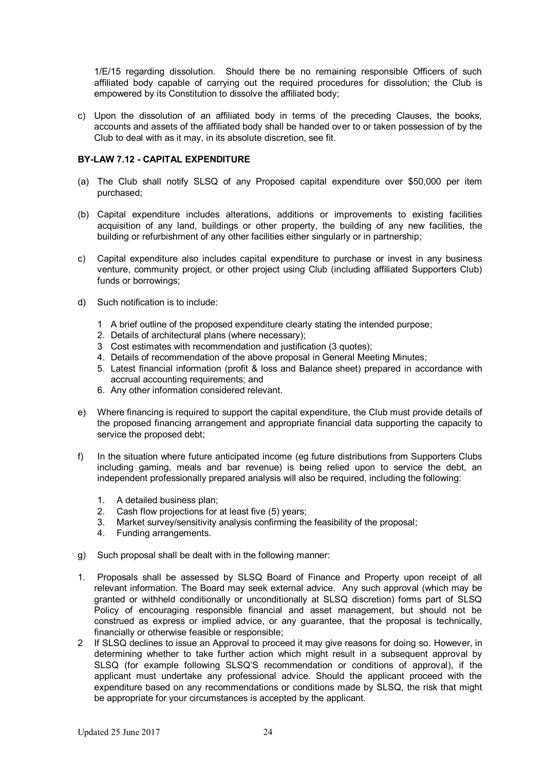1/E/15 regarding dissolution. Should there be no remaining responsible Officers of such affiliated body capable of carrying out the required procedures for dissolution; the Club is empowered by its Constitution to dissolve the affiliated body;

c) Upon the dissolution of an affiliated body in terms of the preceding Clauses, the books, accounts and assets of the affiliated body shall be handed over to or taken possession of by the Club to deal with as it may, in its absolute discretion, see fit.

# **BY-LAW 7.12 - CAPITAL EXPENDITURE**

- (a) The Club shall notify SLSQ of any Proposed capital expenditure over \$50,000 per item purchased;
- (b) Capital expenditure includes alterations, additions or improvements to existing facilities acquisition of any land, buildings or other property, the building of any new facilities, the building or refurbishment of any other facilities either singularly or in partnership;
- c) Capital expenditure also includes capital expenditure to purchase or invest in any business venture, community project, or other project using Club (including affiliated Supporters Club) funds or borrowings;
- d) Such notification is to include:
	- 1 A brief outline of the proposed expenditure clearly stating the intended purpose;
	- 2. Details of architectural plans (where necessary);
	- 3 Cost estimates with recommendation and justification (3 quotes);
	- 4. Details of recommendation of the above proposal in General Meeting Minutes;
	- 5. Latest financial information (profit & loss and Balance sheet) prepared in accordance with accrual accounting requirements; and
	- 6. Any other information considered relevant.
- e) Where financing is required to support the capital expenditure, the Club must provide details of the proposed financing arrangement and appropriate financial data supporting the capacity to service the proposed debt;
- f) In the situation where future anticipated income (eg future distributions from Supporters Clubs including gaming, meals and bar revenue) is being relied upon to service the debt, an independent professionally prepared analysis will also be required, including the following:
	- 1. A detailed business plan;
	- 2. Cash flow projections for at least five (5) years;
	- 3. Market survey/sensitivity analysis confirming the feasibility of the proposal;
	- 4. Funding arrangements.
- g) Such proposal shall be dealt with in the following manner:
- 1. Proposals shall be assessed by SLSQ Board of Finance and Property upon receipt of all relevant information. The Board may seek external advice. Any such approval (which may be granted or withheld conditionally or unconditionally at SLSQ discretion) forms part of SLSQ Policy of encouraging responsible financial and asset management, but should not be construed as express or implied advice, or any guarantee, that the proposal is technically, financially or otherwise feasible or responsible;
- 2 If SLSQ declines to issue an Approval to proceed it may give reasons for doing so. However, in determining whether to take further action which might result in a subsequent approval by SLSQ (for example following SLSQ'S recommendation or conditions of approval), if the applicant must undertake any professional advice. Should the applicant proceed with the expenditure based on any recommendations or conditions made by SLSQ, the risk that might be appropriate for your circumstances is accepted by the applicant.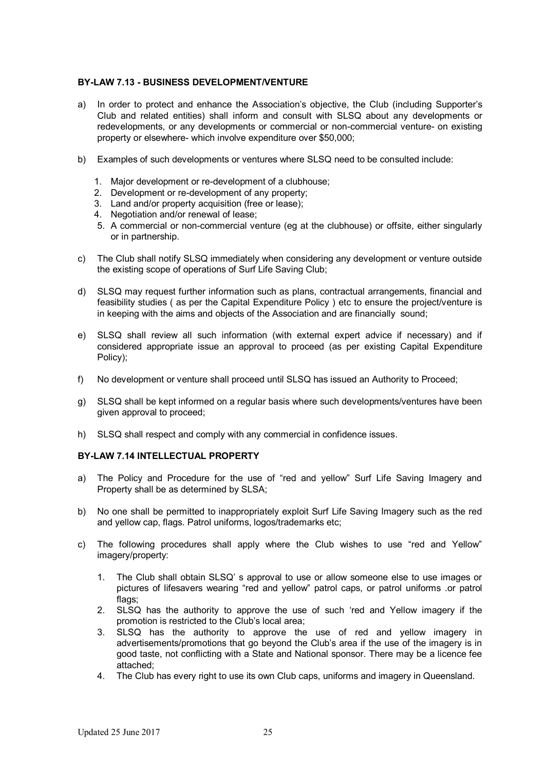# **BY-LAW 7.13 - BUSINESS DEVELOPMENT/VENTURE**

- a) In order to protect and enhance the Association's objective, the Club (including Supporter's Club and related entities) shall inform and consult with SLSQ about any developments or redevelopments, or any developments or commercial or non-commercial venture- on existing property or elsewhere- which involve expenditure over \$50,000;
- b) Examples of such developments or ventures where SLSQ need to be consulted include:
	- 1. Major development or re-development of a clubhouse;
	- 2. Development or re-development of any property;
	- 3. Land and/or property acquisition (free or lease);
	- 4. Negotiation and/or renewal of lease;
	- 5. A commercial or non-commercial venture (eg at the clubhouse) or offsite, either singularly or in partnership.
- c) The Club shall notify SLSQ immediately when considering any development or venture outside the existing scope of operations of Surf Life Saving Club;
- d) SLSQ may request further information such as plans, contractual arrangements, financial and feasibility studies ( as per the Capital Expenditure Policy ) etc to ensure the project/venture is in keeping with the aims and objects of the Association and are financially sound;
- e) SLSQ shall review all such information (with external expert advice if necessary) and if considered appropriate issue an approval to proceed (as per existing Capital Expenditure Policy);
- f) No development or venture shall proceed until SLSQ has issued an Authority to Proceed;
- g) SLSQ shall be kept informed on a regular basis where such developments/ventures have been given approval to proceed;
- h) SLSQ shall respect and comply with any commercial in confidence issues.

# **BY-LAW 7.14 INTELLECTUAL PROPERTY**

- a) The Policy and Procedure for the use of "red and yellow" Surf Life Saving Imagery and Property shall be as determined by SLSA;
- b) No one shall be permitted to inappropriately exploit Surf Life Saving Imagery such as the red and yellow cap, flags. Patrol uniforms, logos/trademarks etc;
- c) The following procedures shall apply where the Club wishes to use "red and Yellow" imagery/property:
	- 1. The Club shall obtain SLSQ' s approval to use or allow someone else to use images or pictures of lifesavers wearing "red and yellow" patrol caps, or patrol uniforms .or patrol flags:
	- 2. SLSQ has the authority to approve the use of such 'red and Yellow imagery if the promotion is restricted to the Club's local area;
	- 3. SLSQ has the authority to approve the use of red and yellow imagery in advertisements/promotions that go beyond the Club's area if the use of the imagery is in good taste, not conflicting with a State and National sponsor. There may be a licence fee attached;
	- 4. The Club has every right to use its own Club caps, uniforms and imagery in Queensland.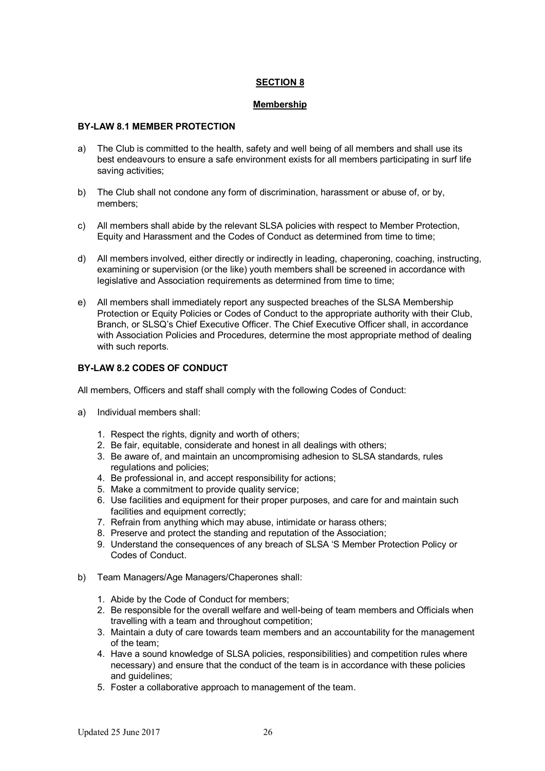# **SECTION 8**

### **Membership**

### **BY-LAW 8.1 MEMBER PROTECTION**

- a) The Club is committed to the health, safety and well being of all members and shall use its best endeavours to ensure a safe environment exists for all members participating in surf life saving activities;
- b) The Club shall not condone any form of discrimination, harassment or abuse of, or by, members;
- c) All members shall abide by the relevant SLSA policies with respect to Member Protection, Equity and Harassment and the Codes of Conduct as determined from time to time;
- d) All members involved, either directly or indirectly in leading, chaperoning, coaching, instructing, examining or supervision (or the like) youth members shall be screened in accordance with legislative and Association requirements as determined from time to time:
- e) All members shall immediately report any suspected breaches of the SLSA Membership Protection or Equity Policies or Codes of Conduct to the appropriate authority with their Club, Branch, or SLSQ's Chief Executive Officer. The Chief Executive Officer shall, in accordance with Association Policies and Procedures, determine the most appropriate method of dealing with such reports.

# **BY-LAW 8.2 CODES OF CONDUCT**

All members, Officers and staff shall comply with the following Codes of Conduct:

- a) Individual members shall:
	- 1. Respect the rights, dignity and worth of others:
	- 2. Be fair, equitable, considerate and honest in all dealings with others;
	- 3. Be aware of, and maintain an uncompromising adhesion to SLSA standards, rules regulations and policies;
	- 4. Be professional in, and accept responsibility for actions;
	- 5. Make a commitment to provide quality service;
	- 6. Use facilities and equipment for their proper purposes, and care for and maintain such facilities and equipment correctly:
	- 7. Refrain from anything which may abuse, intimidate or harass others;
	- 8. Preserve and protect the standing and reputation of the Association;
	- 9. Understand the consequences of any breach of SLSA 'S Member Protection Policy or Codes of Conduct.
- b) Team Managers/Age Managers/Chaperones shall:
	- 1. Abide by the Code of Conduct for members;
	- 2. Be responsible for the overall welfare and well-being of team members and Officials when travelling with a team and throughout competition;
	- 3. Maintain a duty of care towards team members and an accountability for the management of the team;
	- 4. Have a sound knowledge of SLSA policies, responsibilities) and competition rules where necessary) and ensure that the conduct of the team is in accordance with these policies and guidelines;
	- 5. Foster a collaborative approach to management of the team.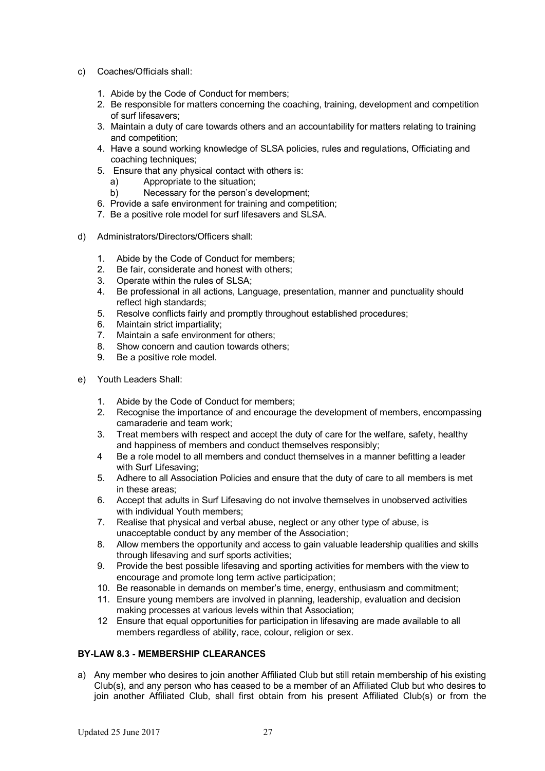- c) Coaches/Officials shall:
	- 1. Abide by the Code of Conduct for members;
	- 2. Be responsible for matters concerning the coaching, training, development and competition of surf lifesavers;
	- 3. Maintain a duty of care towards others and an accountability for matters relating to training and competition;
	- 4. Have a sound working knowledge of SLSA policies, rules and regulations, Officiating and coaching techniques:
	- 5. Ensure that any physical contact with others is:
		- a) Appropriate to the situation;
		- b) Necessary for the person's development;
	- 6. Provide a safe environment for training and competition;
	- 7. Be a positive role model for surf lifesavers and SLSA.
- d) Administrators/Directors/Officers shall:
	- 1. Abide by the Code of Conduct for members;
	- 2. Be fair, considerate and honest with others;
	- 3. Operate within the rules of SLSA;
	- 4. Be professional in all actions, Language, presentation, manner and punctuality should reflect high standards:
	- 5. Resolve conflicts fairly and promptly throughout established procedures;
	- 6. Maintain strict impartiality;
	- 7. Maintain a safe environment for others;
	- 8. Show concern and caution towards others;
	- 9. Be a positive role model.
- e) Youth Leaders Shall:
	- 1. Abide by the Code of Conduct for members;
	- 2. Recognise the importance of and encourage the development of members, encompassing camaraderie and team work;
	- 3. Treat members with respect and accept the duty of care for the welfare, safety, healthy and happiness of members and conduct themselves responsibly;
	- 4 Be a role model to all members and conduct themselves in a manner befitting a leader with Surf Lifesaving;
	- 5. Adhere to all Association Policies and ensure that the duty of care to all members is met in these areas;
	- 6. Accept that adults in Surf Lifesaving do not involve themselves in unobserved activities with individual Youth members;
	- 7. Realise that physical and verbal abuse, neglect or any other type of abuse, is unacceptable conduct by any member of the Association;
	- 8. Allow members the opportunity and access to gain valuable leadership qualities and skills through lifesaving and surf sports activities;
	- 9. Provide the best possible lifesaving and sporting activities for members with the view to encourage and promote long term active participation;
	- 10. Be reasonable in demands on member's time, energy, enthusiasm and commitment;
	- 11. Ensure young members are involved in planning, leadership, evaluation and decision making processes at various levels within that Association;
	- 12 Ensure that equal opportunities for participation in lifesaving are made available to all members regardless of ability, race, colour, religion or sex.

# **BY-LAW 8.3 - MEMBERSHIP CLEARANCES**

a) Any member who desires to join another Affiliated Club but still retain membership of his existing Club(s), and any person who has ceased to be a member of an Affiliated Club but who desires to join another Affiliated Club, shall first obtain from his present Affiliated Club(s) or from the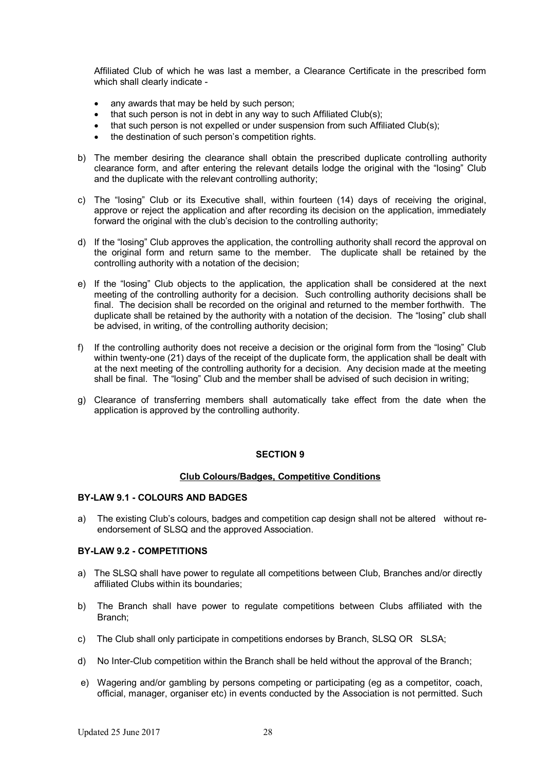Affiliated Club of which he was last a member, a Clearance Certificate in the prescribed form which shall clearly indicate -

- any awards that may be held by such person;
- that such person is not in debt in any way to such Affiliated Club(s);
- that such person is not expelled or under suspension from such Affiliated Club(s);
- the destination of such person's competition rights.
- b) The member desiring the clearance shall obtain the prescribed duplicate controlling authority clearance form, and after entering the relevant details lodge the original with the "losing" Club and the duplicate with the relevant controlling authority;
- c) The "losing" Club or its Executive shall, within fourteen (14) days of receiving the original, approve or reject the application and after recording its decision on the application, immediately forward the original with the club's decision to the controlling authority;
- d) If the "losing" Club approves the application, the controlling authority shall record the approval on the original form and return same to the member. The duplicate shall be retained by the controlling authority with a notation of the decision;
- e) If the "losing" Club objects to the application, the application shall be considered at the next meeting of the controlling authority for a decision. Such controlling authority decisions shall be final. The decision shall be recorded on the original and returned to the member forthwith. The duplicate shall be retained by the authority with a notation of the decision. The "losing" club shall be advised, in writing, of the controlling authority decision;
- f) If the controlling authority does not receive a decision or the original form from the "losing" Club within twenty-one (21) days of the receipt of the duplicate form, the application shall be dealt with at the next meeting of the controlling authority for a decision. Any decision made at the meeting shall be final. The "losing" Club and the member shall be advised of such decision in writing;
- g) Clearance of transferring members shall automatically take effect from the date when the application is approved by the controlling authority.

# **SECTION 9**

#### **Club Colours/Badges, Competitive Conditions**

#### **BY-LAW 9.1 - COLOURS AND BADGES**

a) The existing Club's colours, badges and competition cap design shall not be altered without reendorsement of SLSQ and the approved Association.

#### **BY-LAW 9.2 - COMPETITIONS**

- a) The SLSQ shall have power to regulate all competitions between Club, Branches and/or directly affiliated Clubs within its boundaries;
- b) The Branch shall have power to regulate competitions between Clubs affiliated with the Branch;
- c) The Club shall only participate in competitions endorses by Branch, SLSQ OR SLSA;
- d) No Inter-Club competition within the Branch shall be held without the approval of the Branch;
- e) Wagering and/or gambling by persons competing or participating (eg as a competitor, coach, official, manager, organiser etc) in events conducted by the Association is not permitted. Such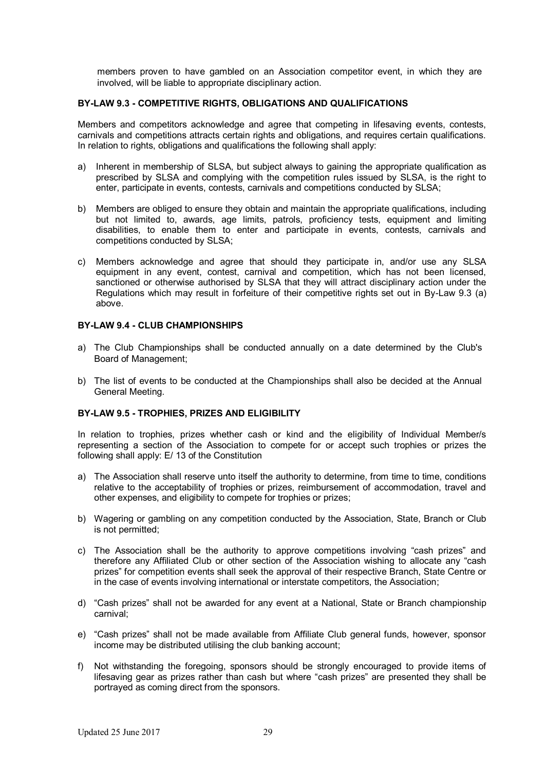members proven to have gambled on an Association competitor event, in which they are involved, will be liable to appropriate disciplinary action.

### **BY-LAW 9.3 - COMPETITIVE RIGHTS, OBLIGATIONS AND QUALIFICATIONS**

Members and competitors acknowledge and agree that competing in lifesaving events, contests, carnivals and competitions attracts certain rights and obligations, and requires certain qualifications. In relation to rights, obligations and qualifications the following shall apply:

- a) Inherent in membership of SLSA, but subject always to gaining the appropriate qualification as prescribed by SLSA and complying with the competition rules issued by SLSA, is the right to enter, participate in events, contests, carnivals and competitions conducted by SLSA;
- b) Members are obliged to ensure they obtain and maintain the appropriate qualifications, including but not limited to, awards, age limits, patrols, proficiency tests, equipment and limiting disabilities, to enable them to enter and participate in events, contests, carnivals and competitions conducted by SLSA;
- c) Members acknowledge and agree that should they participate in, and/or use any SLSA equipment in any event, contest, carnival and competition, which has not been licensed, sanctioned or otherwise authorised by SLSA that they will attract disciplinary action under the Regulations which may result in forfeiture of their competitive rights set out in By-Law 9.3 (a) above.

### **BY-LAW 9.4 - CLUB CHAMPIONSHIPS**

- a) The Club Championships shall be conducted annually on a date determined by the Club's Board of Management;
- b) The list of events to be conducted at the Championships shall also be decided at the Annual General Meeting.

#### **BY-LAW 9.5 - TROPHIES, PRIZES AND ELIGIBILITY**

In relation to trophies, prizes whether cash or kind and the eligibility of Individual Member/s representing a section of the Association to compete for or accept such trophies or prizes the following shall apply: E/ 13 of the Constitution

- a) The Association shall reserve unto itself the authority to determine, from time to time, conditions relative to the acceptability of trophies or prizes, reimbursement of accommodation, travel and other expenses, and eligibility to compete for trophies or prizes;
- b) Wagering or gambling on any competition conducted by the Association, State, Branch or Club is not permitted;
- c) The Association shall be the authority to approve competitions involving "cash prizes" and therefore any Affiliated Club or other section of the Association wishing to allocate any "cash prizes" for competition events shall seek the approval of their respective Branch, State Centre or in the case of events involving international or interstate competitors, the Association;
- d) "Cash prizes" shall not be awarded for any event at a National, State or Branch championship carnival;
- e) "Cash prizes" shall not be made available from Affiliate Club general funds, however, sponsor income may be distributed utilising the club banking account;
- f) Not withstanding the foregoing, sponsors should be strongly encouraged to provide items of lifesaving gear as prizes rather than cash but where "cash prizes" are presented they shall be portrayed as coming direct from the sponsors.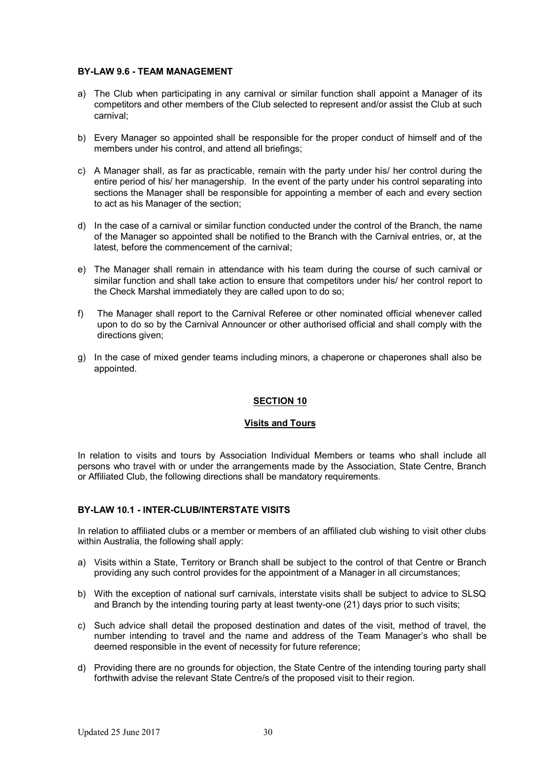### **BY-LAW 9.6 - TEAM MANAGEMENT**

- a) The Club when participating in any carnival or similar function shall appoint a Manager of its competitors and other members of the Club selected to represent and/or assist the Club at such carnival;
- b) Every Manager so appointed shall be responsible for the proper conduct of himself and of the members under his control, and attend all briefings;
- c) A Manager shall, as far as practicable, remain with the party under his/ her control during the entire period of his/ her managership. In the event of the party under his control separating into sections the Manager shall be responsible for appointing a member of each and every section to act as his Manager of the section;
- d) In the case of a carnival or similar function conducted under the control of the Branch, the name of the Manager so appointed shall be notified to the Branch with the Carnival entries, or, at the latest, before the commencement of the carnival;
- e) The Manager shall remain in attendance with his team during the course of such carnival or similar function and shall take action to ensure that competitors under his/ her control report to the Check Marshal immediately they are called upon to do so;
- f) The Manager shall report to the Carnival Referee or other nominated official whenever called upon to do so by the Carnival Announcer or other authorised official and shall comply with the directions given:
- g) In the case of mixed gender teams including minors, a chaperone or chaperones shall also be appointed.

# **SECTION 10**

# **Visits and Tours**

In relation to visits and tours by Association Individual Members or teams who shall include all persons who travel with or under the arrangements made by the Association, State Centre, Branch or Affiliated Club, the following directions shall be mandatory requirements.

# **BY-LAW 10.1 - INTER-CLUB/INTERSTATE VISITS**

In relation to affiliated clubs or a member or members of an affiliated club wishing to visit other clubs within Australia, the following shall apply:

- a) Visits within a State, Territory or Branch shall be subject to the control of that Centre or Branch providing any such control provides for the appointment of a Manager in all circumstances;
- b) With the exception of national surf carnivals, interstate visits shall be subject to advice to SLSQ and Branch by the intending touring party at least twenty-one (21) days prior to such visits;
- c) Such advice shall detail the proposed destination and dates of the visit, method of travel, the number intending to travel and the name and address of the Team Manager's who shall be deemed responsible in the event of necessity for future reference;
- d) Providing there are no grounds for objection, the State Centre of the intending touring party shall forthwith advise the relevant State Centre/s of the proposed visit to their region.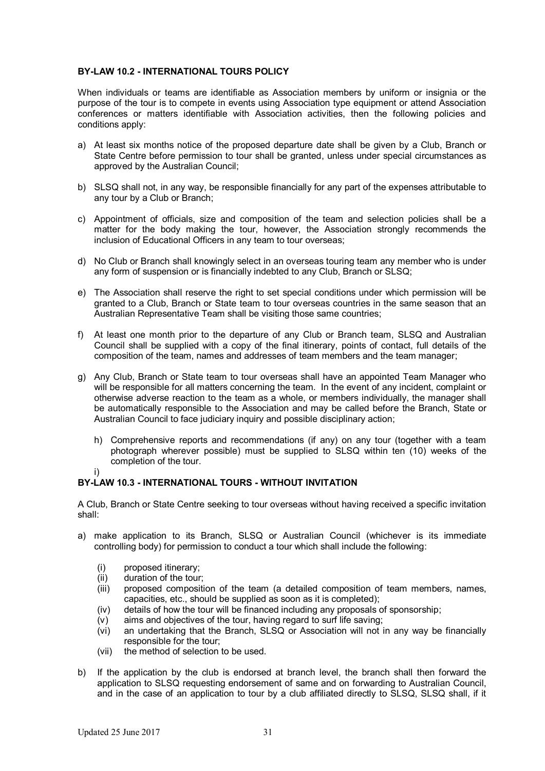# **BY-LAW 10.2 - INTERNATIONAL TOURS POLICY**

When individuals or teams are identifiable as Association members by uniform or insignia or the purpose of the tour is to compete in events using Association type equipment or attend Association conferences or matters identifiable with Association activities, then the following policies and conditions apply:

- a) At least six months notice of the proposed departure date shall be given by a Club, Branch or State Centre before permission to tour shall be granted, unless under special circumstances as approved by the Australian Council;
- b) SLSQ shall not, in any way, be responsible financially for any part of the expenses attributable to any tour by a Club or Branch;
- c) Appointment of officials, size and composition of the team and selection policies shall be a matter for the body making the tour, however, the Association strongly recommends the inclusion of Educational Officers in any team to tour overseas;
- d) No Club or Branch shall knowingly select in an overseas touring team any member who is under any form of suspension or is financially indebted to any Club, Branch or SLSQ;
- e) The Association shall reserve the right to set special conditions under which permission will be granted to a Club, Branch or State team to tour overseas countries in the same season that an Australian Representative Team shall be visiting those same countries;
- f) At least one month prior to the departure of any Club or Branch team, SLSQ and Australian Council shall be supplied with a copy of the final itinerary, points of contact, full details of the composition of the team, names and addresses of team members and the team manager;
- g) Any Club, Branch or State team to tour overseas shall have an appointed Team Manager who will be responsible for all matters concerning the team. In the event of any incident, complaint or otherwise adverse reaction to the team as a whole, or members individually, the manager shall be automatically responsible to the Association and may be called before the Branch, State or Australian Council to face judiciary inquiry and possible disciplinary action;
	- h) Comprehensive reports and recommendations (if any) on any tour (together with a team photograph wherever possible) must be supplied to SLSQ within ten (10) weeks of the completion of the tour.
	- i)

# **BY-LAW 10.3 - INTERNATIONAL TOURS - WITHOUT INVITATION**

A Club, Branch or State Centre seeking to tour overseas without having received a specific invitation shall:

- a) make application to its Branch, SLSQ or Australian Council (whichever is its immediate controlling body) for permission to conduct a tour which shall include the following:
	- (i) proposed itinerary;
	- (ii) duration of the tour;
	- (iii) proposed composition of the team (a detailed composition of team members, names, capacities, etc., should be supplied as soon as it is completed);
	- (iv) details of how the tour will be financed including any proposals of sponsorship;
	- (v) aims and objectives of the tour, having regard to surf life saving;
	- (vi) an undertaking that the Branch, SLSQ or Association will not in any way be financially responsible for the tour;
	- (vii) the method of selection to be used.
- b) If the application by the club is endorsed at branch level, the branch shall then forward the application to SLSQ requesting endorsement of same and on forwarding to Australian Council, and in the case of an application to tour by a club affiliated directly to SLSQ, SLSQ shall, if it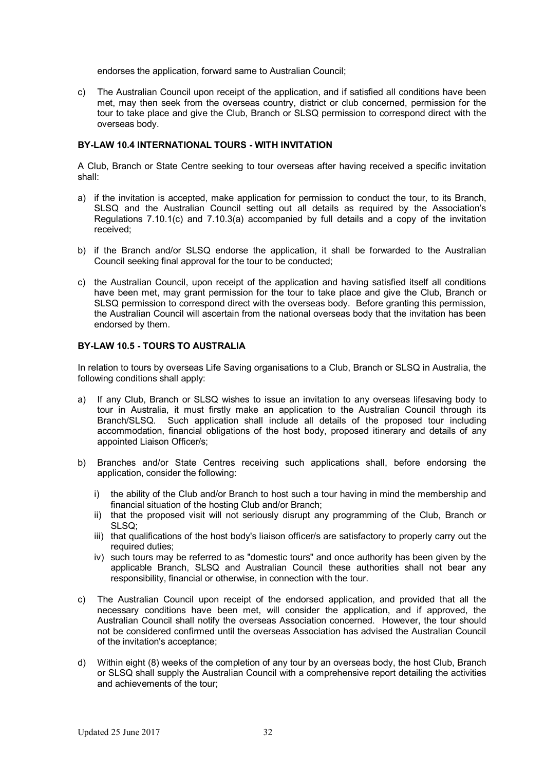endorses the application, forward same to Australian Council;

c) The Australian Council upon receipt of the application, and if satisfied all conditions have been met, may then seek from the overseas country, district or club concerned, permission for the tour to take place and give the Club, Branch or SLSQ permission to correspond direct with the overseas body.

### **BY-LAW 10.4 INTERNATIONAL TOURS - WITH INVITATION**

A Club, Branch or State Centre seeking to tour overseas after having received a specific invitation shall:

- a) if the invitation is accepted, make application for permission to conduct the tour, to its Branch, SLSQ and the Australian Council setting out all details as required by the Association's Regulations 7.10.1(c) and 7.10.3(a) accompanied by full details and a copy of the invitation received;
- b) if the Branch and/or SLSQ endorse the application, it shall be forwarded to the Australian Council seeking final approval for the tour to be conducted;
- c) the Australian Council, upon receipt of the application and having satisfied itself all conditions have been met, may grant permission for the tour to take place and give the Club, Branch or SLSQ permission to correspond direct with the overseas body. Before granting this permission, the Australian Council will ascertain from the national overseas body that the invitation has been endorsed by them.

### **BY-LAW 10.5 - TOURS TO AUSTRALIA**

In relation to tours by overseas Life Saving organisations to a Club, Branch or SLSQ in Australia, the following conditions shall apply:

- a) If any Club, Branch or SLSQ wishes to issue an invitation to any overseas lifesaving body to tour in Australia, it must firstly make an application to the Australian Council through its Branch/SLSQ. Such application shall include all details of the proposed tour including accommodation, financial obligations of the host body, proposed itinerary and details of any appointed Liaison Officer/s;
- b) Branches and/or State Centres receiving such applications shall, before endorsing the application, consider the following:
	- i) the ability of the Club and/or Branch to host such a tour having in mind the membership and financial situation of the hosting Club and/or Branch;
	- ii) that the proposed visit will not seriously disrupt any programming of the Club, Branch or SLSQ;
	- iii) that qualifications of the host body's liaison officer/s are satisfactory to properly carry out the required duties;
	- iv) such tours may be referred to as "domestic tours" and once authority has been given by the applicable Branch, SLSQ and Australian Council these authorities shall not bear any responsibility, financial or otherwise, in connection with the tour.
- c) The Australian Council upon receipt of the endorsed application, and provided that all the necessary conditions have been met, will consider the application, and if approved, the Australian Council shall notify the overseas Association concerned. However, the tour should not be considered confirmed until the overseas Association has advised the Australian Council of the invitation's acceptance;
- d) Within eight (8) weeks of the completion of any tour by an overseas body, the host Club, Branch or SLSQ shall supply the Australian Council with a comprehensive report detailing the activities and achievements of the tour;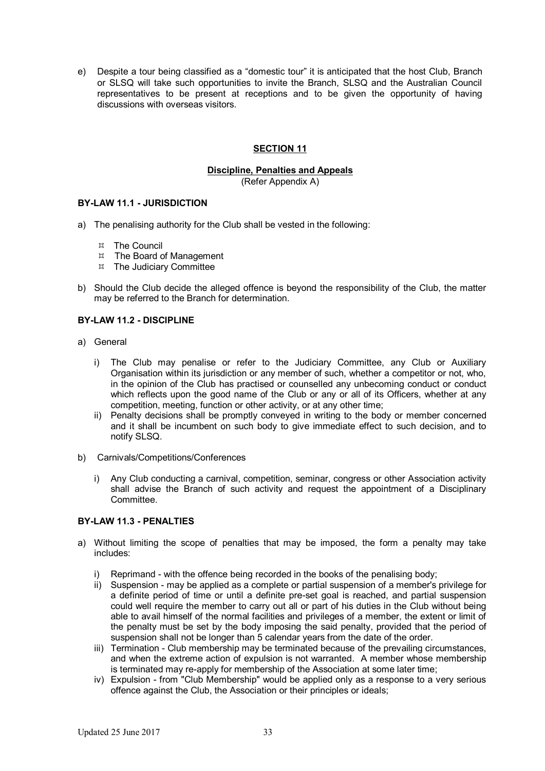e) Despite a tour being classified as a "domestic tour" it is anticipated that the host Club, Branch or SLSQ will take such opportunities to invite the Branch, SLSQ and the Australian Council representatives to be present at receptions and to be given the opportunity of having discussions with overseas visitors.

# **SECTION 11**

# **Discipline, Penalties and Appeals**

(Refer Appendix A)

# **BY-LAW 11.1 - JURISDICTION**

- a) The penalising authority for the Club shall be vested in the following:
	- The Council
	- $H$  The Board of Management
	- $H$  The Judiciary Committee
- b) Should the Club decide the alleged offence is beyond the responsibility of the Club, the matter may be referred to the Branch for determination.

### **BY-LAW 11.2 - DISCIPLINE**

- a) General
	- i) The Club may penalise or refer to the Judiciary Committee, any Club or Auxiliary Organisation within its jurisdiction or any member of such, whether a competitor or not, who, in the opinion of the Club has practised or counselled any unbecoming conduct or conduct which reflects upon the good name of the Club or any or all of its Officers, whether at any competition, meeting, function or other activity, or at any other time;
	- ii) Penalty decisions shall be promptly conveyed in writing to the body or member concerned and it shall be incumbent on such body to give immediate effect to such decision, and to notify SLSQ.
- b) Carnivals/Competitions/Conferences
	- i) Any Club conducting a carnival, competition, seminar, congress or other Association activity shall advise the Branch of such activity and request the appointment of a Disciplinary Committee.

# **BY-LAW 11.3 - PENALTIES**

- a) Without limiting the scope of penalties that may be imposed, the form a penalty may take includes:
	- i) Reprimand with the offence being recorded in the books of the penalising body;
	- ii) Suspension may be applied as a complete or partial suspension of a member's privilege for a definite period of time or until a definite pre-set goal is reached, and partial suspension could well require the member to carry out all or part of his duties in the Club without being able to avail himself of the normal facilities and privileges of a member, the extent or limit of the penalty must be set by the body imposing the said penalty, provided that the period of suspension shall not be longer than 5 calendar years from the date of the order.
	- iii) Termination Club membership may be terminated because of the prevailing circumstances, and when the extreme action of expulsion is not warranted. A member whose membership is terminated may re-apply for membership of the Association at some later time;
	- iv) Expulsion from "Club Membership" would be applied only as a response to a very serious offence against the Club, the Association or their principles or ideals;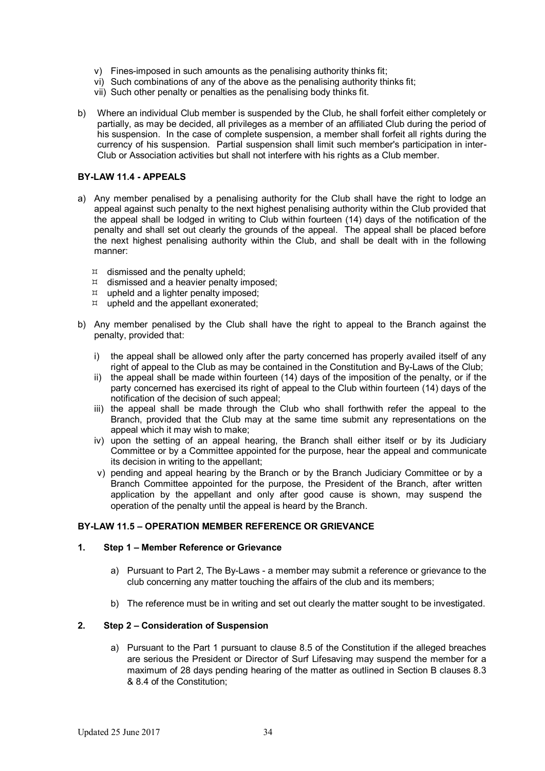- v) Fines-imposed in such amounts as the penalising authority thinks fit;
- vi) Such combinations of any of the above as the penalising authority thinks fit;
- vii) Such other penalty or penalties as the penalising body thinks fit.
- b) Where an individual Club member is suspended by the Club, he shall forfeit either completely or partially, as may be decided, all privileges as a member of an affiliated Club during the period of his suspension. In the case of complete suspension, a member shall forfeit all rights during the currency of his suspension. Partial suspension shall limit such member's participation in inter-Club or Association activities but shall not interfere with his rights as a Club member.

#### **BY-LAW 11.4 - APPEALS**

- a) Any member penalised by a penalising authority for the Club shall have the right to lodge an appeal against such penalty to the next highest penalising authority within the Club provided that the appeal shall be lodged in writing to Club within fourteen (14) days of the notification of the penalty and shall set out clearly the grounds of the appeal. The appeal shall be placed before the next highest penalising authority within the Club, and shall be dealt with in the following manner:
	- $\mu$  dismissed and the penalty upheld;
	- $\mu$  dismissed and a heavier penalty imposed;
	- $\mu$  upheld and a lighter penalty imposed;
	- $\n *u*$  upheld and the appellant exonerated;
- b) Any member penalised by the Club shall have the right to appeal to the Branch against the penalty, provided that:
	- i) the appeal shall be allowed only after the party concerned has properly availed itself of any right of appeal to the Club as may be contained in the Constitution and By-Laws of the Club;
	- ii) the appeal shall be made within fourteen (14) days of the imposition of the penalty, or if the party concerned has exercised its right of appeal to the Club within fourteen (14) days of the notification of the decision of such appeal;
	- iii) the appeal shall be made through the Club who shall forthwith refer the appeal to the Branch, provided that the Club may at the same time submit any representations on the appeal which it may wish to make;
	- iv) upon the setting of an appeal hearing, the Branch shall either itself or by its Judiciary Committee or by a Committee appointed for the purpose, hear the appeal and communicate its decision in writing to the appellant;
	- v) pending and appeal hearing by the Branch or by the Branch Judiciary Committee or by a Branch Committee appointed for the purpose, the President of the Branch, after written application by the appellant and only after good cause is shown, may suspend the operation of the penalty until the appeal is heard by the Branch.

# **BY-LAW 11.5 – OPERATION MEMBER REFERENCE OR GRIEVANCE**

#### **1. Step 1 – Member Reference or Grievance**

- a) Pursuant to Part 2, The By-Laws a member may submit a reference or grievance to the club concerning any matter touching the affairs of the club and its members;
- b) The reference must be in writing and set out clearly the matter sought to be investigated.

### **2. Step 2 – Consideration of Suspension**

a) Pursuant to the Part 1 pursuant to clause 8.5 of the Constitution if the alleged breaches are serious the President or Director of Surf Lifesaving may suspend the member for a maximum of 28 days pending hearing of the matter as outlined in Section B clauses 8.3 & 8.4 of the Constitution;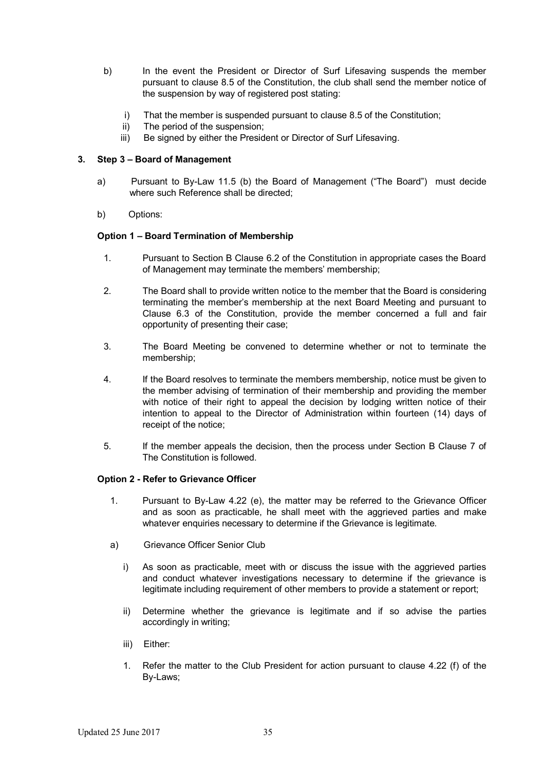- b) In the event the President or Director of Surf Lifesaving suspends the member pursuant to clause 8.5 of the Constitution, the club shall send the member notice of the suspension by way of registered post stating:
	- i) That the member is suspended pursuant to clause 8.5 of the Constitution;
	- ii) The period of the suspension;
	- iii) Be signed by either the President or Director of Surf Lifesaving.

# **3. Step 3 – Board of Management**

- a) Pursuant to By-Law 11.5 (b) the Board of Management ("The Board") must decide where such Reference shall be directed;
- b) Options:

# **Option 1 – Board Termination of Membership**

- 1. Pursuant to Section B Clause 6.2 of the Constitution in appropriate cases the Board of Management may terminate the members' membership;
- 2. The Board shall to provide written notice to the member that the Board is considering terminating the member's membership at the next Board Meeting and pursuant to Clause 6.3 of the Constitution, provide the member concerned a full and fair opportunity of presenting their case;
- 3. The Board Meeting be convened to determine whether or not to terminate the membership;
- 4. If the Board resolves to terminate the members membership, notice must be given to the member advising of termination of their membership and providing the member with notice of their right to appeal the decision by lodging written notice of their intention to appeal to the Director of Administration within fourteen (14) days of receipt of the notice;
- 5. If the member appeals the decision, then the process under Section B Clause 7 of The Constitution is followed.

# **Option 2 - Refer to Grievance Officer**

- 1. Pursuant to By-Law 4.22 (e), the matter may be referred to the Grievance Officer and as soon as practicable, he shall meet with the aggrieved parties and make whatever enquiries necessary to determine if the Grievance is legitimate.
- a) Grievance Officer Senior Club
	- i) As soon as practicable, meet with or discuss the issue with the aggrieved parties and conduct whatever investigations necessary to determine if the grievance is legitimate including requirement of other members to provide a statement or report;
	- ii) Determine whether the grievance is legitimate and if so advise the parties accordingly in writing;
	- iii) Either:
	- 1. Refer the matter to the Club President for action pursuant to clause 4.22 (f) of the By-Laws;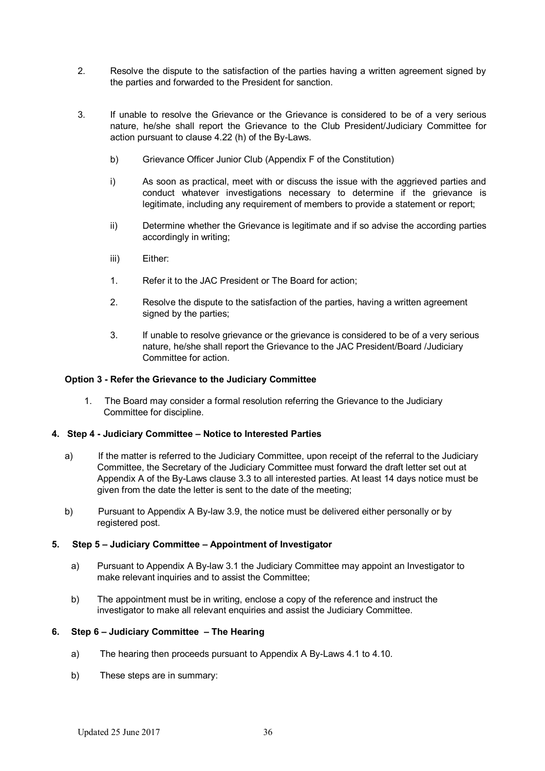- 2. Resolve the dispute to the satisfaction of the parties having a written agreement signed by the parties and forwarded to the President for sanction.
- 3. If unable to resolve the Grievance or the Grievance is considered to be of a very serious nature, he/she shall report the Grievance to the Club President/Judiciary Committee for action pursuant to clause 4.22 (h) of the By-Laws.
	- b) Grievance Officer Junior Club (Appendix F of the Constitution)
	- i) As soon as practical, meet with or discuss the issue with the aggrieved parties and conduct whatever investigations necessary to determine if the grievance is legitimate, including any requirement of members to provide a statement or report;
	- ii) Determine whether the Grievance is legitimate and if so advise the according parties accordingly in writing;
	- iii) Either:
	- 1. Refer it to the JAC President or The Board for action;
	- 2. Resolve the dispute to the satisfaction of the parties, having a written agreement signed by the parties;
	- 3. If unable to resolve grievance or the grievance is considered to be of a very serious nature, he/she shall report the Grievance to the JAC President/Board /Judiciary Committee for action.

#### **Option 3 - Refer the Grievance to the Judiciary Committee**

1. The Board may consider a formal resolution referring the Grievance to the Judiciary Committee for discipline.

#### **4. Step 4 - Judiciary Committee – Notice to Interested Parties**

- a) If the matter is referred to the Judiciary Committee, upon receipt of the referral to the Judiciary Committee, the Secretary of the Judiciary Committee must forward the draft letter set out at Appendix A of the By-Laws clause 3.3 to all interested parties. At least 14 days notice must be given from the date the letter is sent to the date of the meeting;
- b) Pursuant to Appendix A By-law 3.9, the notice must be delivered either personally or by registered post.

#### **5. Step 5 – Judiciary Committee – Appointment of Investigator**

- a) Pursuant to Appendix A By-law 3.1 the Judiciary Committee may appoint an Investigator to make relevant inquiries and to assist the Committee;
- b) The appointment must be in writing, enclose a copy of the reference and instruct the investigator to make all relevant enquiries and assist the Judiciary Committee.

#### **6. Step 6 – Judiciary Committee – The Hearing**

- a) The hearing then proceeds pursuant to Appendix A By-Laws 4.1 to 4.10.
- b) These steps are in summary: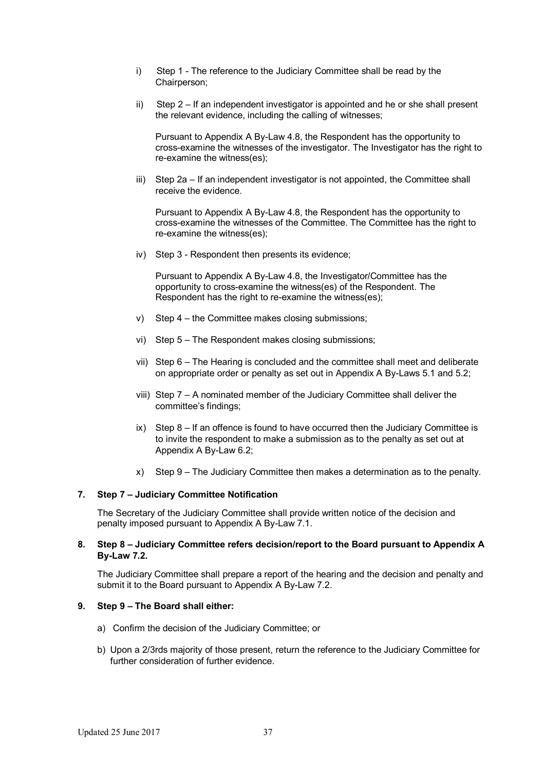- i) Step 1 The reference to the Judiciary Committee shall be read by the Chairperson;
- ii) Step 2 If an independent investigator is appointed and he or she shall present the relevant evidence, including the calling of witnesses;

Pursuant to Appendix A By-Law 4.8, the Respondent has the opportunity to cross-examine the witnesses of the investigator. The Investigator has the right to re-examine the witness(es);

iii) Step 2a – If an independent investigator is not appointed, the Committee shall receive the evidence.

Pursuant to Appendix A By-Law 4.8, the Respondent has the opportunity to cross-examine the witnesses of the Committee. The Committee has the right to re-examine the witness(es);

iv) Step 3 - Respondent then presents its evidence;

Pursuant to Appendix A By-Law 4.8, the Investigator/Committee has the opportunity to cross-examine the witness(es) of the Respondent. The Respondent has the right to re-examine the witness(es);

- v) Step 4 the Committee makes closing submissions;
- vi) Step 5 The Respondent makes closing submissions;
- vii) Step 6 The Hearing is concluded and the committee shall meet and deliberate on appropriate order or penalty as set out in Appendix A By-Laws 5.1 and 5.2;
- viii) Step 7 A nominated member of the Judiciary Committee shall deliver the committee's findings;
- ix) Step 8 If an offence is found to have occurred then the Judiciary Committee is to invite the respondent to make a submission as to the penalty as set out at Appendix A By-Law 6.2;
- x) Step 9 The Judiciary Committee then makes a determination as to the penalty.

#### **7. Step 7 – Judiciary Committee Notification**

The Secretary of the Judiciary Committee shall provide written notice of the decision and penalty imposed pursuant to Appendix A By-Law 7.1.

#### **8. Step 8 – Judiciary Committee refers decision/report to the Board pursuant to Appendix A By-Law 7.2.**

The Judiciary Committee shall prepare a report of the hearing and the decision and penalty and submit it to the Board pursuant to Appendix A By-Law 7.2.

### **9. Step 9 – The Board shall either:**

- a) Confirm the decision of the Judiciary Committee; or
- b) Upon a 2/3rds majority of those present, return the reference to the Judiciary Committee for further consideration of further evidence.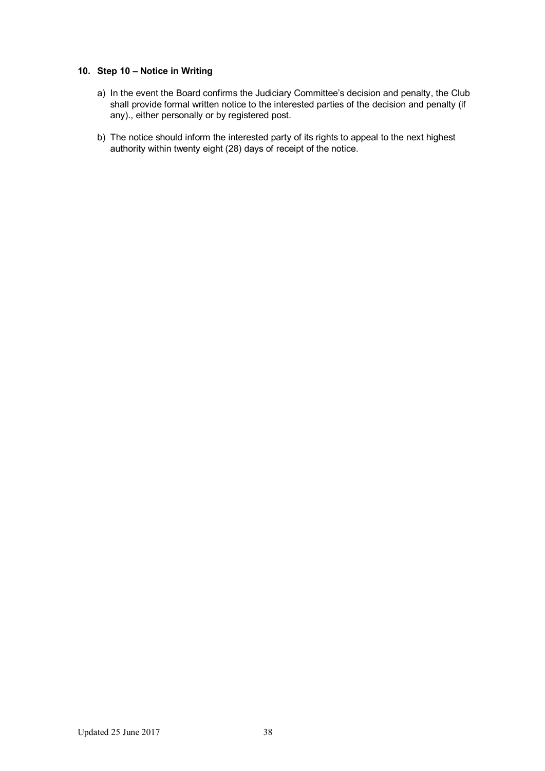# **10. Step 10 – Notice in Writing**

- a) In the event the Board confirms the Judiciary Committee's decision and penalty, the Club shall provide formal written notice to the interested parties of the decision and penalty (if any)., either personally or by registered post.
- b) The notice should inform the interested party of its rights to appeal to the next highest authority within twenty eight (28) days of receipt of the notice.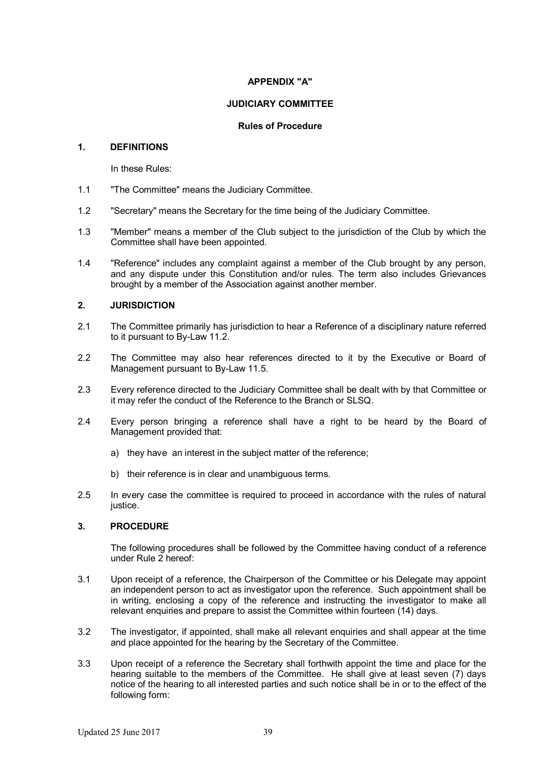# **APPENDIX "A"**

### **JUDICIARY COMMITTEE**

### **Rules of Procedure**

### **1. DEFINITIONS**

In these Rules:

- 1.1 "The Committee" means the Judiciary Committee.
- 1.2 "Secretary" means the Secretary for the time being of the Judiciary Committee.
- 1.3 "Member" means a member of the Club subject to the jurisdiction of the Club by which the Committee shall have been appointed.
- 1.4 "Reference" includes any complaint against a member of the Club brought by any person, and any dispute under this Constitution and/or rules. The term also includes Grievances brought by a member of the Association against another member.

### **2. JURISDICTION**

- 2.1 The Committee primarily has jurisdiction to hear a Reference of a disciplinary nature referred to it pursuant to By-Law 11.2.
- 2.2 The Committee may also hear references directed to it by the Executive or Board of Management pursuant to By-Law 11.5.
- 2.3 Every reference directed to the Judiciary Committee shall be dealt with by that Committee or it may refer the conduct of the Reference to the Branch or SLSQ.
- 2.4 Every person bringing a reference shall have a right to be heard by the Board of Management provided that:
	- a) they have an interest in the subject matter of the reference;
	- b) their reference is in clear and unambiguous terms.
- 2.5 In every case the committee is required to proceed in accordance with the rules of natural justice.

# **3. PROCEDURE**

The following procedures shall be followed by the Committee having conduct of a reference under Rule 2 hereof:

- 3.1 Upon receipt of a reference, the Chairperson of the Committee or his Delegate may appoint an independent person to act as investigator upon the reference. Such appointment shall be in writing, enclosing a copy of the reference and instructing the investigator to make all relevant enquiries and prepare to assist the Committee within fourteen (14) days.
- 3.2 The investigator, if appointed, shall make all relevant enquiries and shall appear at the time and place appointed for the hearing by the Secretary of the Committee.
- 3.3 Upon receipt of a reference the Secretary shall forthwith appoint the time and place for the hearing suitable to the members of the Committee. He shall give at least seven (7) days notice of the hearing to all interested parties and such notice shall be in or to the effect of the following form: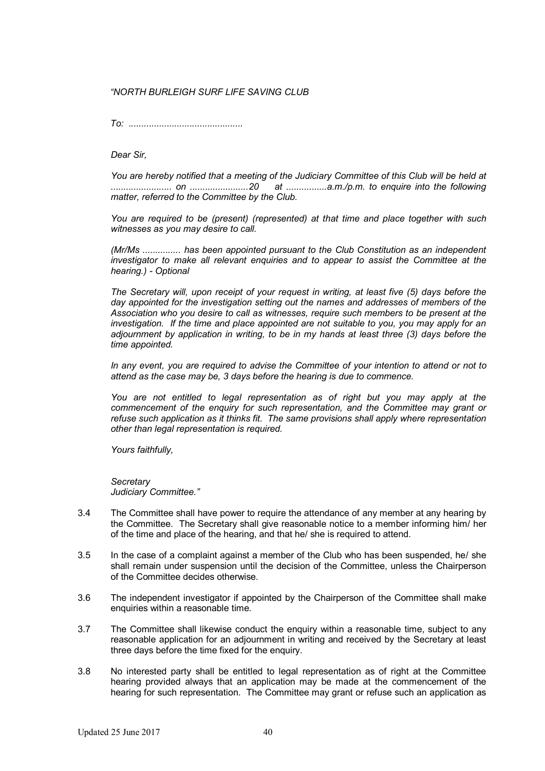# *"NORTH BURLEIGH SURF LIFE SAVING CLUB*

*To: .............................................*

*Dear Sir,*

*You are hereby notified that a meeting of the Judiciary Committee of this Club will be held at ........................ on .......................20 at ................a.m./p.m. to enquire into the following matter, referred to the Committee by the Club.*

*You are required to be (present) (represented) at that time and place together with such witnesses as you may desire to call.*

*(Mr/Ms ............... has been appointed pursuant to the Club Constitution as an independent investigator to make all relevant enquiries and to appear to assist the Committee at the hearing.) - Optional*

*The Secretary will, upon receipt of your request in writing, at least five (5) days before the day appointed for the investigation setting out the names and addresses of members of the Association who you desire to call as witnesses, require such members to be present at the*  investigation. If the time and place appointed are not suitable to you, you may apply for an *adjournment by application in writing, to be in my hands at least three (3) days before the time appointed.*

*In any event, you are required to advise the Committee of your intention to attend or not to attend as the case may be, 3 days before the hearing is due to commence.*

*You are not entitled to legal representation as of right but you may apply at the commencement of the enquiry for such representation, and the Committee may grant or refuse such application as it thinks fit. The same provisions shall apply where representation other than legal representation is required.*

*Yours faithfully,*

*Secretary Judiciary Committee."*

- 3.4 The Committee shall have power to require the attendance of any member at any hearing by the Committee. The Secretary shall give reasonable notice to a member informing him/ her of the time and place of the hearing, and that he/ she is required to attend.
- 3.5 In the case of a complaint against a member of the Club who has been suspended, he/ she shall remain under suspension until the decision of the Committee, unless the Chairperson of the Committee decides otherwise.
- 3.6 The independent investigator if appointed by the Chairperson of the Committee shall make enquiries within a reasonable time.
- 3.7 The Committee shall likewise conduct the enquiry within a reasonable time, subject to any reasonable application for an adjournment in writing and received by the Secretary at least three days before the time fixed for the enquiry.
- 3.8 No interested party shall be entitled to legal representation as of right at the Committee hearing provided always that an application may be made at the commencement of the hearing for such representation. The Committee may grant or refuse such an application as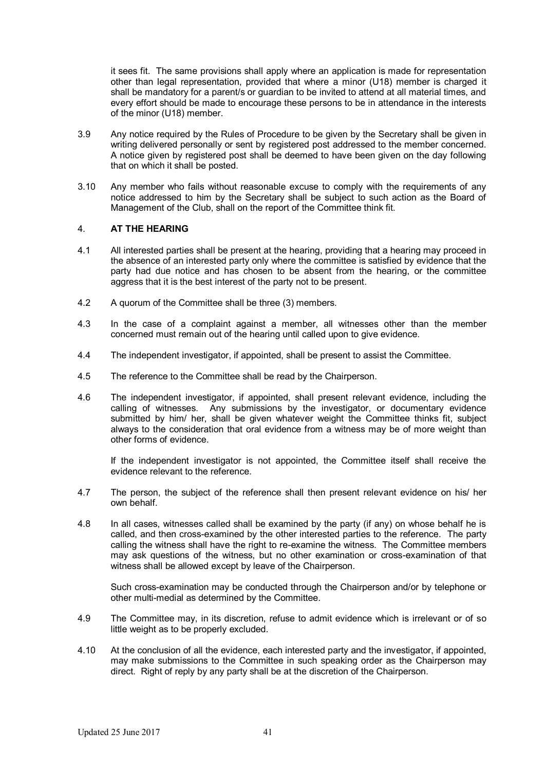it sees fit. The same provisions shall apply where an application is made for representation other than legal representation, provided that where a minor (U18) member is charged it shall be mandatory for a parent/s or quardian to be invited to attend at all material times, and every effort should be made to encourage these persons to be in attendance in the interests of the minor (U18) member.

- 3.9 Any notice required by the Rules of Procedure to be given by the Secretary shall be given in writing delivered personally or sent by registered post addressed to the member concerned. A notice given by registered post shall be deemed to have been given on the day following that on which it shall be posted.
- 3.10 Any member who fails without reasonable excuse to comply with the requirements of any notice addressed to him by the Secretary shall be subject to such action as the Board of Management of the Club, shall on the report of the Committee think fit.

### 4. **AT THE HEARING**

- 4.1 All interested parties shall be present at the hearing, providing that a hearing may proceed in the absence of an interested party only where the committee is satisfied by evidence that the party had due notice and has chosen to be absent from the hearing, or the committee aggress that it is the best interest of the party not to be present.
- 4.2 A quorum of the Committee shall be three (3) members.
- 4.3 In the case of a complaint against a member, all witnesses other than the member concerned must remain out of the hearing until called upon to give evidence.
- 4.4 The independent investigator, if appointed, shall be present to assist the Committee.
- 4.5 The reference to the Committee shall be read by the Chairperson.
- 4.6 The independent investigator, if appointed, shall present relevant evidence, including the calling of witnesses. Any submissions by the investigator, or documentary evidence submitted by him/ her, shall be given whatever weight the Committee thinks fit, subject always to the consideration that oral evidence from a witness may be of more weight than other forms of evidence.

If the independent investigator is not appointed, the Committee itself shall receive the evidence relevant to the reference.

- 4.7 The person, the subject of the reference shall then present relevant evidence on his/ her own behalf.
- 4.8 In all cases, witnesses called shall be examined by the party (if any) on whose behalf he is called, and then cross-examined by the other interested parties to the reference. The party calling the witness shall have the right to re-examine the witness. The Committee members may ask questions of the witness, but no other examination or cross-examination of that witness shall be allowed except by leave of the Chairperson.

Such cross-examination may be conducted through the Chairperson and/or by telephone or other multi-medial as determined by the Committee.

- 4.9 The Committee may, in its discretion, refuse to admit evidence which is irrelevant or of so little weight as to be properly excluded.
- 4.10 At the conclusion of all the evidence, each interested party and the investigator, if appointed, may make submissions to the Committee in such speaking order as the Chairperson may direct. Right of reply by any party shall be at the discretion of the Chairperson.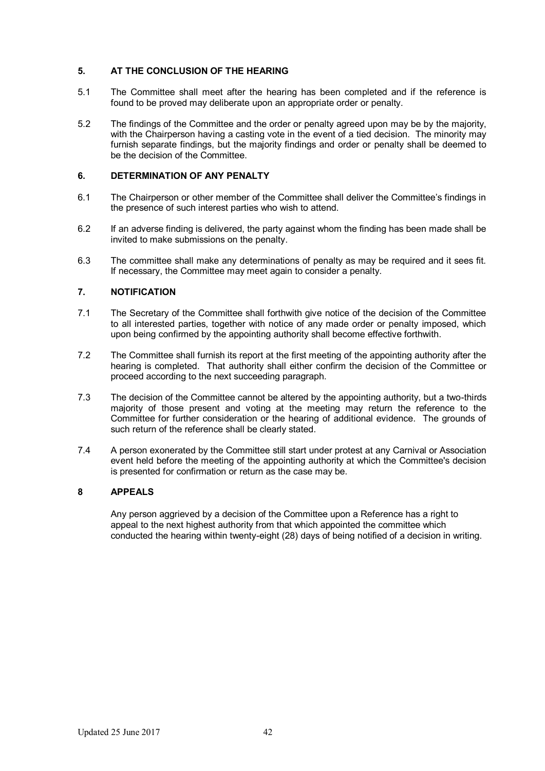# **5. AT THE CONCLUSION OF THE HEARING**

- 5.1 The Committee shall meet after the hearing has been completed and if the reference is found to be proved may deliberate upon an appropriate order or penalty.
- 5.2 The findings of the Committee and the order or penalty agreed upon may be by the majority, with the Chairperson having a casting vote in the event of a tied decision. The minority may furnish separate findings, but the majority findings and order or penalty shall be deemed to be the decision of the Committee.

# **6. DETERMINATION OF ANY PENALTY**

- 6.1 The Chairperson or other member of the Committee shall deliver the Committee's findings in the presence of such interest parties who wish to attend.
- 6.2 If an adverse finding is delivered, the party against whom the finding has been made shall be invited to make submissions on the penalty.
- 6.3 The committee shall make any determinations of penalty as may be required and it sees fit. If necessary, the Committee may meet again to consider a penalty.

# **7. NOTIFICATION**

- 7.1 The Secretary of the Committee shall forthwith give notice of the decision of the Committee to all interested parties, together with notice of any made order or penalty imposed, which upon being confirmed by the appointing authority shall become effective forthwith.
- 7.2 The Committee shall furnish its report at the first meeting of the appointing authority after the hearing is completed. That authority shall either confirm the decision of the Committee or proceed according to the next succeeding paragraph.
- 7.3 The decision of the Committee cannot be altered by the appointing authority, but a two-thirds majority of those present and voting at the meeting may return the reference to the Committee for further consideration or the hearing of additional evidence. The grounds of such return of the reference shall be clearly stated.
- 7.4 A person exonerated by the Committee still start under protest at any Carnival or Association event held before the meeting of the appointing authority at which the Committee's decision is presented for confirmation or return as the case may be.

# **8 APPEALS**

Any person aggrieved by a decision of the Committee upon a Reference has a right to appeal to the next highest authority from that which appointed the committee which conducted the hearing within twenty-eight (28) days of being notified of a decision in writing.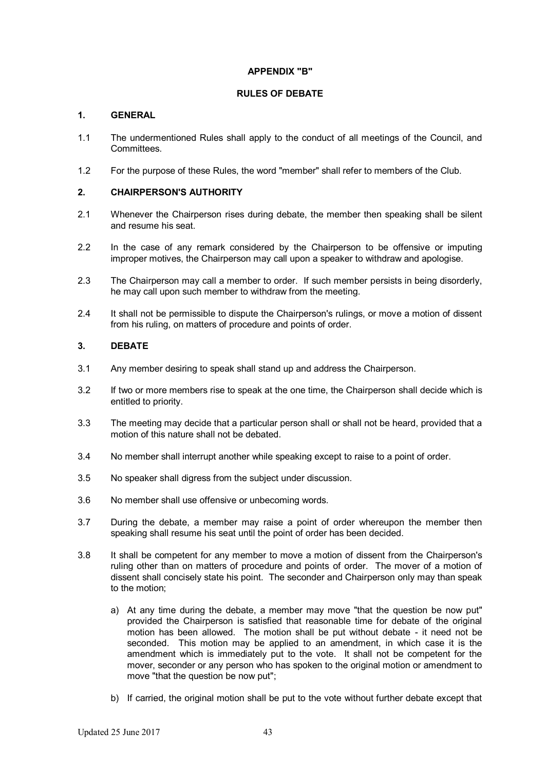# **APPENDIX "B"**

# **RULES OF DEBATE**

# **1. GENERAL**

- 1.1 The undermentioned Rules shall apply to the conduct of all meetings of the Council, and Committees.
- 1.2 For the purpose of these Rules, the word "member" shall refer to members of the Club.

# **2. CHAIRPERSON'S AUTHORITY**

- 2.1 Whenever the Chairperson rises during debate, the member then speaking shall be silent and resume his seat.
- 2.2 In the case of any remark considered by the Chairperson to be offensive or imputing improper motives, the Chairperson may call upon a speaker to withdraw and apologise.
- 2.3 The Chairperson may call a member to order. If such member persists in being disorderly, he may call upon such member to withdraw from the meeting.
- 2.4 It shall not be permissible to dispute the Chairperson's rulings, or move a motion of dissent from his ruling, on matters of procedure and points of order.

# **3. DEBATE**

- 3.1 Any member desiring to speak shall stand up and address the Chairperson.
- 3.2 If two or more members rise to speak at the one time, the Chairperson shall decide which is entitled to priority.
- 3.3 The meeting may decide that a particular person shall or shall not be heard, provided that a motion of this nature shall not be debated.
- 3.4 No member shall interrupt another while speaking except to raise to a point of order.
- 3.5 No speaker shall digress from the subject under discussion.
- 3.6 No member shall use offensive or unbecoming words.
- 3.7 During the debate, a member may raise a point of order whereupon the member then speaking shall resume his seat until the point of order has been decided.
- 3.8 It shall be competent for any member to move a motion of dissent from the Chairperson's ruling other than on matters of procedure and points of order. The mover of a motion of dissent shall concisely state his point. The seconder and Chairperson only may than speak to the motion;
	- a) At any time during the debate, a member may move "that the question be now put" provided the Chairperson is satisfied that reasonable time for debate of the original motion has been allowed. The motion shall be put without debate - it need not be seconded. This motion may be applied to an amendment, in which case it is the amendment which is immediately put to the vote. It shall not be competent for the mover, seconder or any person who has spoken to the original motion or amendment to move "that the question be now put";
	- b) If carried, the original motion shall be put to the vote without further debate except that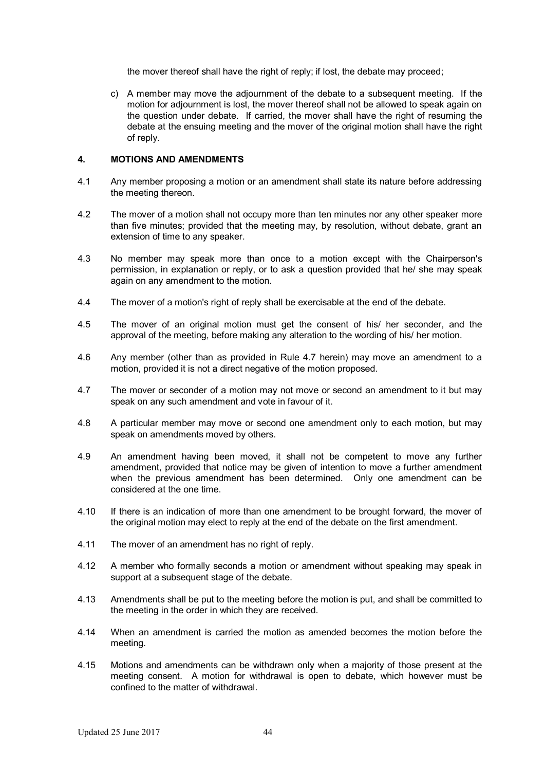the mover thereof shall have the right of reply; if lost, the debate may proceed;

c) A member may move the adjournment of the debate to a subsequent meeting. If the motion for adjournment is lost, the mover thereof shall not be allowed to speak again on the question under debate. If carried, the mover shall have the right of resuming the debate at the ensuing meeting and the mover of the original motion shall have the right of reply.

### **4. MOTIONS AND AMENDMENTS**

- 4.1 Any member proposing a motion or an amendment shall state its nature before addressing the meeting thereon.
- 4.2 The mover of a motion shall not occupy more than ten minutes nor any other speaker more than five minutes; provided that the meeting may, by resolution, without debate, grant an extension of time to any speaker.
- 4.3 No member may speak more than once to a motion except with the Chairperson's permission, in explanation or reply, or to ask a question provided that he/ she may speak again on any amendment to the motion.
- 4.4 The mover of a motion's right of reply shall be exercisable at the end of the debate.
- 4.5 The mover of an original motion must get the consent of his/ her seconder, and the approval of the meeting, before making any alteration to the wording of his/ her motion.
- 4.6 Any member (other than as provided in Rule 4.7 herein) may move an amendment to a motion, provided it is not a direct negative of the motion proposed.
- 4.7 The mover or seconder of a motion may not move or second an amendment to it but may speak on any such amendment and vote in favour of it.
- 4.8 A particular member may move or second one amendment only to each motion, but may speak on amendments moved by others.
- 4.9 An amendment having been moved, it shall not be competent to move any further amendment, provided that notice may be given of intention to move a further amendment when the previous amendment has been determined. Only one amendment can be considered at the one time.
- 4.10 If there is an indication of more than one amendment to be brought forward, the mover of the original motion may elect to reply at the end of the debate on the first amendment.
- 4.11 The mover of an amendment has no right of reply.
- 4.12 A member who formally seconds a motion or amendment without speaking may speak in support at a subsequent stage of the debate.
- 4.13 Amendments shall be put to the meeting before the motion is put, and shall be committed to the meeting in the order in which they are received.
- 4.14 When an amendment is carried the motion as amended becomes the motion before the meeting.
- 4.15 Motions and amendments can be withdrawn only when a majority of those present at the meeting consent. A motion for withdrawal is open to debate, which however must be confined to the matter of withdrawal.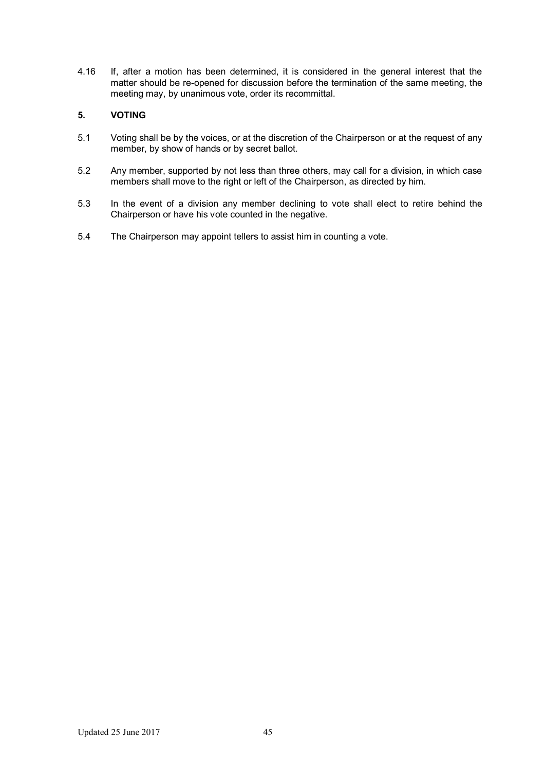4.16 If, after a motion has been determined, it is considered in the general interest that the matter should be re-opened for discussion before the termination of the same meeting, the meeting may, by unanimous vote, order its recommittal.

# **5. VOTING**

- 5.1 Voting shall be by the voices, or at the discretion of the Chairperson or at the request of any member, by show of hands or by secret ballot.
- 5.2 Any member, supported by not less than three others, may call for a division, in which case members shall move to the right or left of the Chairperson, as directed by him.
- 5.3 In the event of a division any member declining to vote shall elect to retire behind the Chairperson or have his vote counted in the negative.
- 5.4 The Chairperson may appoint tellers to assist him in counting a vote.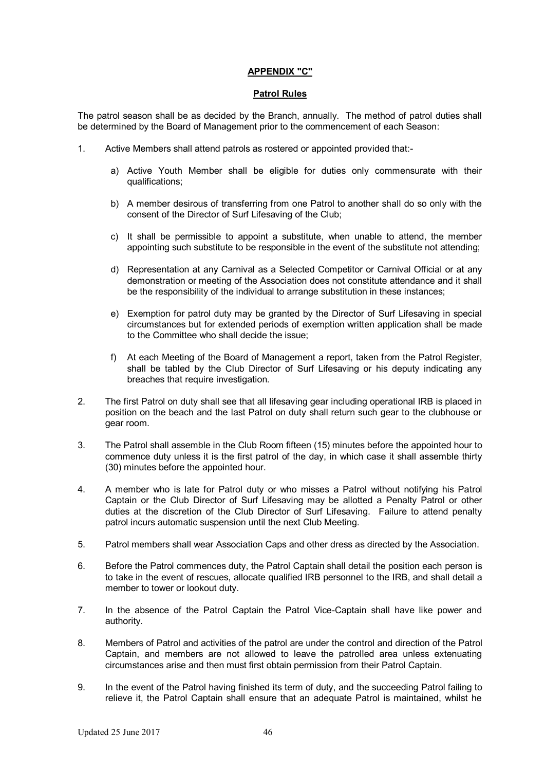# **APPENDIX "C"**

#### **Patrol Rules**

The patrol season shall be as decided by the Branch, annually. The method of patrol duties shall be determined by the Board of Management prior to the commencement of each Season:

- 1. Active Members shall attend patrols as rostered or appointed provided that:
	- a) Active Youth Member shall be eligible for duties only commensurate with their qualifications;
	- b) A member desirous of transferring from one Patrol to another shall do so only with the consent of the Director of Surf Lifesaving of the Club;
	- c) It shall be permissible to appoint a substitute, when unable to attend, the member appointing such substitute to be responsible in the event of the substitute not attending;
	- d) Representation at any Carnival as a Selected Competitor or Carnival Official or at any demonstration or meeting of the Association does not constitute attendance and it shall be the responsibility of the individual to arrange substitution in these instances;
	- e) Exemption for patrol duty may be granted by the Director of Surf Lifesaving in special circumstances but for extended periods of exemption written application shall be made to the Committee who shall decide the issue;
	- f) At each Meeting of the Board of Management a report, taken from the Patrol Register, shall be tabled by the Club Director of Surf Lifesaving or his deputy indicating any breaches that require investigation.
- 2. The first Patrol on duty shall see that all lifesaving gear including operational IRB is placed in position on the beach and the last Patrol on duty shall return such gear to the clubhouse or gear room.
- 3. The Patrol shall assemble in the Club Room fifteen (15) minutes before the appointed hour to commence duty unless it is the first patrol of the day, in which case it shall assemble thirty (30) minutes before the appointed hour.
- 4. A member who is late for Patrol duty or who misses a Patrol without notifying his Patrol Captain or the Club Director of Surf Lifesaving may be allotted a Penalty Patrol or other duties at the discretion of the Club Director of Surf Lifesaving. Failure to attend penalty patrol incurs automatic suspension until the next Club Meeting.
- 5. Patrol members shall wear Association Caps and other dress as directed by the Association.
- 6. Before the Patrol commences duty, the Patrol Captain shall detail the position each person is to take in the event of rescues, allocate qualified IRB personnel to the IRB, and shall detail a member to tower or lookout duty.
- 7. In the absence of the Patrol Captain the Patrol Vice-Captain shall have like power and authority.
- 8. Members of Patrol and activities of the patrol are under the control and direction of the Patrol Captain, and members are not allowed to leave the patrolled area unless extenuating circumstances arise and then must first obtain permission from their Patrol Captain.
- 9. In the event of the Patrol having finished its term of duty, and the succeeding Patrol failing to relieve it, the Patrol Captain shall ensure that an adequate Patrol is maintained, whilst he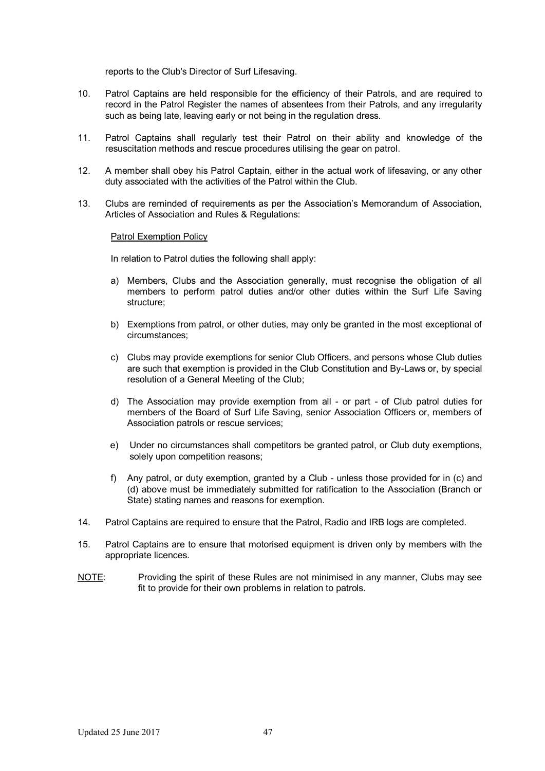reports to the Club's Director of Surf Lifesaving.

- 10. Patrol Captains are held responsible for the efficiency of their Patrols, and are required to record in the Patrol Register the names of absentees from their Patrols, and any irregularity such as being late, leaving early or not being in the regulation dress.
- 11. Patrol Captains shall regularly test their Patrol on their ability and knowledge of the resuscitation methods and rescue procedures utilising the gear on patrol.
- 12. A member shall obey his Patrol Captain, either in the actual work of lifesaving, or any other duty associated with the activities of the Patrol within the Club.
- 13. Clubs are reminded of requirements as per the Association's Memorandum of Association, Articles of Association and Rules & Regulations:

### Patrol Exemption Policy

In relation to Patrol duties the following shall apply:

- a) Members, Clubs and the Association generally, must recognise the obligation of all members to perform patrol duties and/or other duties within the Surf Life Saving structure;
- b) Exemptions from patrol, or other duties, may only be granted in the most exceptional of circumstances;
- c) Clubs may provide exemptions for senior Club Officers, and persons whose Club duties are such that exemption is provided in the Club Constitution and By-Laws or, by special resolution of a General Meeting of the Club;
- d) The Association may provide exemption from all or part of Club patrol duties for members of the Board of Surf Life Saving, senior Association Officers or, members of Association patrols or rescue services;
- e) Under no circumstances shall competitors be granted patrol, or Club duty exemptions, solely upon competition reasons;
- f) Any patrol, or duty exemption, granted by a Club unless those provided for in (c) and (d) above must be immediately submitted for ratification to the Association (Branch or State) stating names and reasons for exemption.
- 14. Patrol Captains are required to ensure that the Patrol, Radio and IRB logs are completed.
- 15. Patrol Captains are to ensure that motorised equipment is driven only by members with the appropriate licences.
- NOTE: Providing the spirit of these Rules are not minimised in any manner. Clubs may see fit to provide for their own problems in relation to patrols.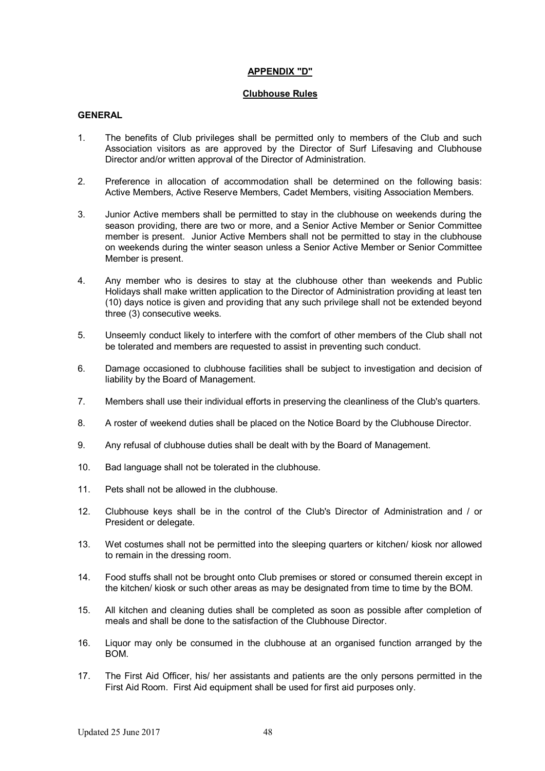### **APPENDIX "D"**

#### **Clubhouse Rules**

### **GENERAL**

- 1. The benefits of Club privileges shall be permitted only to members of the Club and such Association visitors as are approved by the Director of Surf Lifesaving and Clubhouse Director and/or written approval of the Director of Administration.
- 2. Preference in allocation of accommodation shall be determined on the following basis: Active Members, Active Reserve Members, Cadet Members, visiting Association Members.
- 3. Junior Active members shall be permitted to stay in the clubhouse on weekends during the season providing, there are two or more, and a Senior Active Member or Senior Committee member is present. Junior Active Members shall not be permitted to stay in the clubhouse on weekends during the winter season unless a Senior Active Member or Senior Committee Member is present.
- 4. Any member who is desires to stay at the clubhouse other than weekends and Public Holidays shall make written application to the Director of Administration providing at least ten (10) days notice is given and providing that any such privilege shall not be extended beyond three (3) consecutive weeks.
- 5. Unseemly conduct likely to interfere with the comfort of other members of the Club shall not be tolerated and members are requested to assist in preventing such conduct.
- 6. Damage occasioned to clubhouse facilities shall be subject to investigation and decision of liability by the Board of Management.
- 7. Members shall use their individual efforts in preserving the cleanliness of the Club's quarters.
- 8. A roster of weekend duties shall be placed on the Notice Board by the Clubhouse Director.
- 9. Any refusal of clubhouse duties shall be dealt with by the Board of Management.
- 10. Bad language shall not be tolerated in the clubhouse.
- 11. Pets shall not be allowed in the clubhouse.
- 12. Clubhouse keys shall be in the control of the Club's Director of Administration and / or President or delegate.
- 13. Wet costumes shall not be permitted into the sleeping quarters or kitchen/ kiosk nor allowed to remain in the dressing room.
- 14. Food stuffs shall not be brought onto Club premises or stored or consumed therein except in the kitchen/ kiosk or such other areas as may be designated from time to time by the BOM.
- 15. All kitchen and cleaning duties shall be completed as soon as possible after completion of meals and shall be done to the satisfaction of the Clubhouse Director.
- 16. Liquor may only be consumed in the clubhouse at an organised function arranged by the BOM.
- 17. The First Aid Officer, his/ her assistants and patients are the only persons permitted in the First Aid Room. First Aid equipment shall be used for first aid purposes only.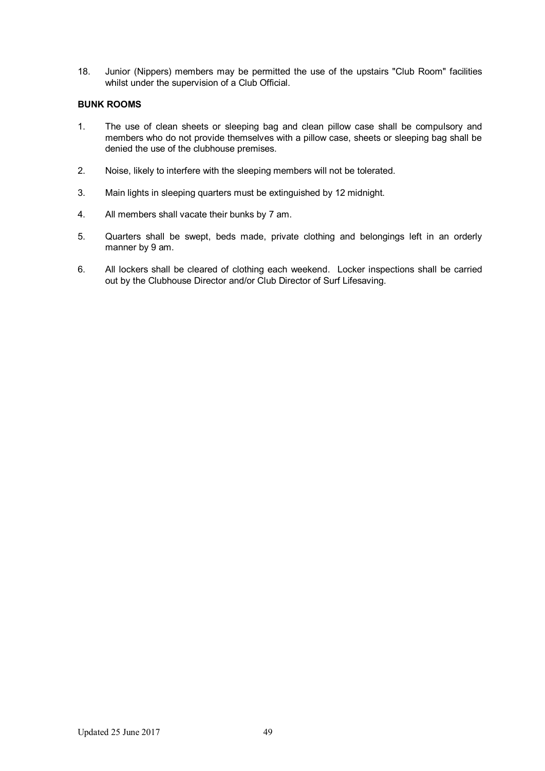18. Junior (Nippers) members may be permitted the use of the upstairs "Club Room" facilities whilst under the supervision of a Club Official.

### **BUNK ROOMS**

- 1. The use of clean sheets or sleeping bag and clean pillow case shall be compulsory and members who do not provide themselves with a pillow case, sheets or sleeping bag shall be denied the use of the clubhouse premises.
- 2. Noise, likely to interfere with the sleeping members will not be tolerated.
- 3. Main lights in sleeping quarters must be extinguished by 12 midnight.
- 4. All members shall vacate their bunks by 7 am.
- 5. Quarters shall be swept, beds made, private clothing and belongings left in an orderly manner by 9 am.
- 6. All lockers shall be cleared of clothing each weekend. Locker inspections shall be carried out by the Clubhouse Director and/or Club Director of Surf Lifesaving.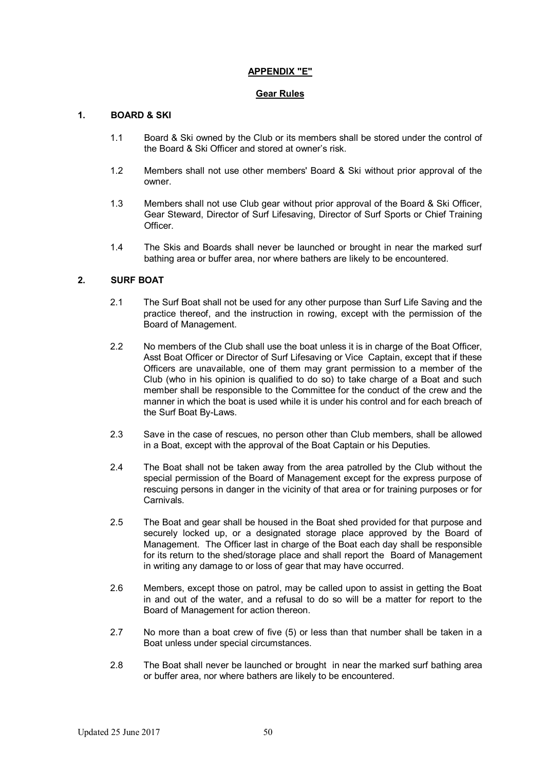### **APPENDIX "E"**

#### **Gear Rules**

# **1. BOARD & SKI**

- 1.1 Board & Ski owned by the Club or its members shall be stored under the control of the Board & Ski Officer and stored at owner's risk.
- 1.2 Members shall not use other members' Board & Ski without prior approval of the owner.
- 1.3 Members shall not use Club gear without prior approval of the Board & Ski Officer, Gear Steward, Director of Surf Lifesaving, Director of Surf Sports or Chief Training Officer.
- 1.4 The Skis and Boards shall never be launched or brought in near the marked surf bathing area or buffer area, nor where bathers are likely to be encountered.

# **2. SURF BOAT**

- 2.1 The Surf Boat shall not be used for any other purpose than Surf Life Saving and the practice thereof, and the instruction in rowing, except with the permission of the Board of Management.
- 2.2 No members of the Club shall use the boat unless it is in charge of the Boat Officer, Asst Boat Officer or Director of Surf Lifesaving or Vice Captain, except that if these Officers are unavailable, one of them may grant permission to a member of the Club (who in his opinion is qualified to do so) to take charge of a Boat and such member shall be responsible to the Committee for the conduct of the crew and the manner in which the boat is used while it is under his control and for each breach of the Surf Boat By-Laws.
- 2.3 Save in the case of rescues, no person other than Club members, shall be allowed in a Boat, except with the approval of the Boat Captain or his Deputies.
- 2.4 The Boat shall not be taken away from the area patrolled by the Club without the special permission of the Board of Management except for the express purpose of rescuing persons in danger in the vicinity of that area or for training purposes or for Carnivals.
- 2.5 The Boat and gear shall be housed in the Boat shed provided for that purpose and securely locked up, or a designated storage place approved by the Board of Management. The Officer last in charge of the Boat each day shall be responsible for its return to the shed/storage place and shall report the Board of Management in writing any damage to or loss of gear that may have occurred.
- 2.6 Members, except those on patrol, may be called upon to assist in getting the Boat in and out of the water, and a refusal to do so will be a matter for report to the Board of Management for action thereon.
- 2.7 No more than a boat crew of five (5) or less than that number shall be taken in a Boat unless under special circumstances.
- 2.8 The Boat shall never be launched or brought in near the marked surf bathing area or buffer area, nor where bathers are likely to be encountered.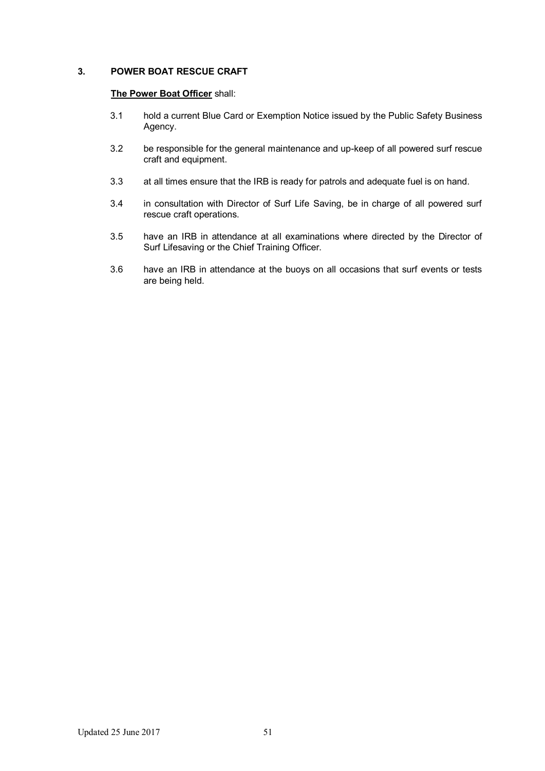# **3. POWER BOAT RESCUE CRAFT**

# **The Power Boat Officer** shall:

- 3.1 hold a current Blue Card or Exemption Notice issued by the Public Safety Business Agency.
- 3.2 be responsible for the general maintenance and up-keep of all powered surf rescue craft and equipment.
- 3.3 at all times ensure that the IRB is ready for patrols and adequate fuel is on hand.
- 3.4 in consultation with Director of Surf Life Saving, be in charge of all powered surf rescue craft operations.
- 3.5 have an IRB in attendance at all examinations where directed by the Director of Surf Lifesaving or the Chief Training Officer.
- 3.6 have an IRB in attendance at the buoys on all occasions that surf events or tests are being held.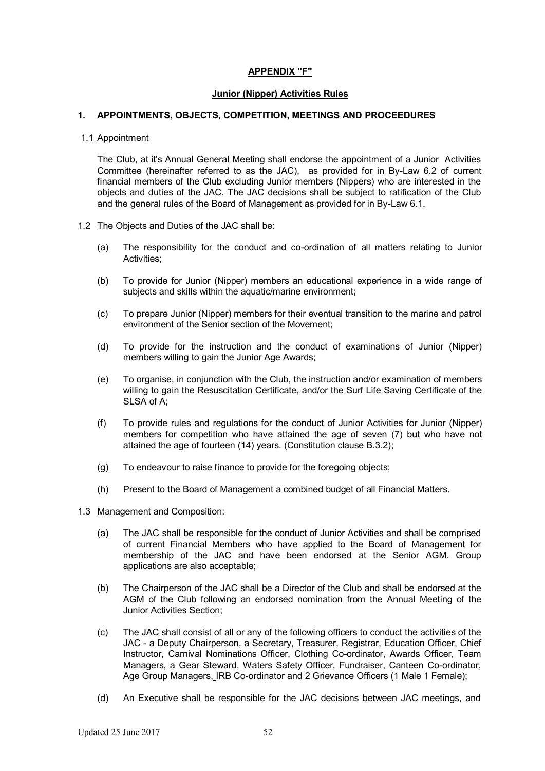### **APPENDIX "F"**

#### **Junior (Nipper) Activities Rules**

### **1. APPOINTMENTS, OBJECTS, COMPETITION, MEETINGS AND PROCEEDURES**

#### 1.1 Appointment

The Club, at it's Annual General Meeting shall endorse the appointment of a Junior Activities Committee (hereinafter referred to as the JAC), as provided for in By-Law 6.2 of current financial members of the Club excluding Junior members (Nippers) who are interested in the objects and duties of the JAC. The JAC decisions shall be subject to ratification of the Club and the general rules of the Board of Management as provided for in By-Law 6.1.

#### 1.2 The Objects and Duties of the JAC shall be:

- (a) The responsibility for the conduct and co-ordination of all matters relating to Junior Activities;
- (b) To provide for Junior (Nipper) members an educational experience in a wide range of subjects and skills within the aquatic/marine environment;
- (c) To prepare Junior (Nipper) members for their eventual transition to the marine and patrol environment of the Senior section of the Movement;
- (d) To provide for the instruction and the conduct of examinations of Junior (Nipper) members willing to gain the Junior Age Awards;
- (e) To organise, in conjunction with the Club, the instruction and/or examination of members willing to gain the Resuscitation Certificate, and/or the Surf Life Saving Certificate of the SLSA of A;
- (f) To provide rules and regulations for the conduct of Junior Activities for Junior (Nipper) members for competition who have attained the age of seven (7) but who have not attained the age of fourteen (14) years. (Constitution clause B.3.2);
- (g) To endeavour to raise finance to provide for the foregoing objects;
- (h) Present to the Board of Management a combined budget of all Financial Matters.

#### 1.3 Management and Composition:

- (a) The JAC shall be responsible for the conduct of Junior Activities and shall be comprised of current Financial Members who have applied to the Board of Management for membership of the JAC and have been endorsed at the Senior AGM. Group applications are also acceptable;
- (b) The Chairperson of the JAC shall be a Director of the Club and shall be endorsed at the AGM of the Club following an endorsed nomination from the Annual Meeting of the Junior Activities Section;
- (c) The JAC shall consist of all or any of the following officers to conduct the activities of the JAC - a Deputy Chairperson, a Secretary, Treasurer, Registrar, Education Officer, Chief Instructor, Carnival Nominations Officer, Clothing Co-ordinator, Awards Officer, Team Managers, a Gear Steward, Waters Safety Officer, Fundraiser, Canteen Co-ordinator, Age Group Managers, IRB Co-ordinator and 2 Grievance Officers (1 Male 1 Female);
- (d) An Executive shall be responsible for the JAC decisions between JAC meetings, and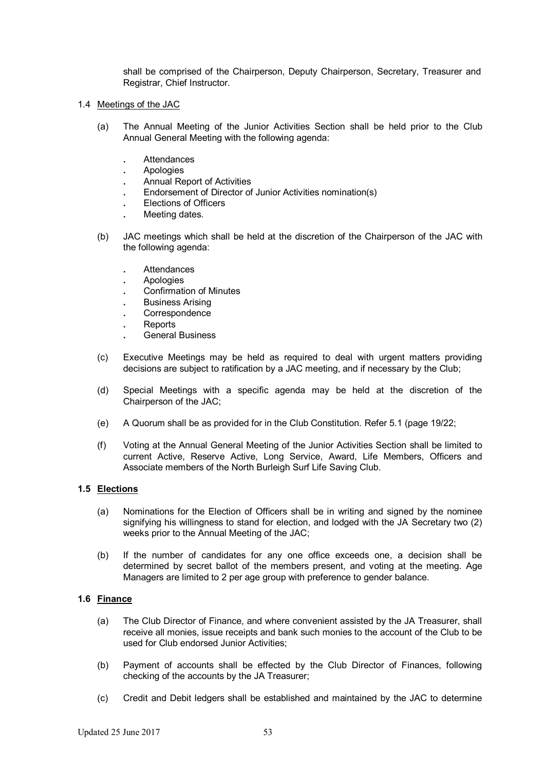shall be comprised of the Chairperson, Deputy Chairperson, Secretary, Treasurer and Registrar, Chief Instructor.

- 1.4 Meetings of the JAC
	- (a) The Annual Meeting of the Junior Activities Section shall be held prior to the Club Annual General Meeting with the following agenda:
		- **.** Attendances
		- **.** Apologies
		- **.** Annual Report of Activities
		- **.** Endorsement of Director of Junior Activities nomination(s)
		- **.** Elections of Officers
		- **.** Meeting dates.
	- (b) JAC meetings which shall be held at the discretion of the Chairperson of the JAC with the following agenda:
		- **.** Attendances
		- **.** Apologies
		- **.** Confirmation of Minutes
		- **.** Business Arising
		- **.** Correspondence
		- **.** Reports
		- **.** General Business
	- (c) Executive Meetings may be held as required to deal with urgent matters providing decisions are subject to ratification by a JAC meeting, and if necessary by the Club;
	- (d) Special Meetings with a specific agenda may be held at the discretion of the Chairperson of the JAC;
	- (e) A Quorum shall be as provided for in the Club Constitution. Refer 5.1 (page 19/22;
	- (f) Voting at the Annual General Meeting of the Junior Activities Section shall be limited to current Active, Reserve Active, Long Service, Award, Life Members, Officers and Associate members of the North Burleigh Surf Life Saving Club.

# **1.5 Elections**

- (a) Nominations for the Election of Officers shall be in writing and signed by the nominee signifying his willingness to stand for election, and lodged with the JA Secretary two (2) weeks prior to the Annual Meeting of the JAC;
- (b) If the number of candidates for any one office exceeds one, a decision shall be determined by secret ballot of the members present, and voting at the meeting. Age Managers are limited to 2 per age group with preference to gender balance.

# **1.6 Finance**

- (a) The Club Director of Finance, and where convenient assisted by the JA Treasurer, shall receive all monies, issue receipts and bank such monies to the account of the Club to be used for Club endorsed Junior Activities;
- (b) Payment of accounts shall be effected by the Club Director of Finances, following checking of the accounts by the JA Treasurer;
- (c) Credit and Debit ledgers shall be established and maintained by the JAC to determine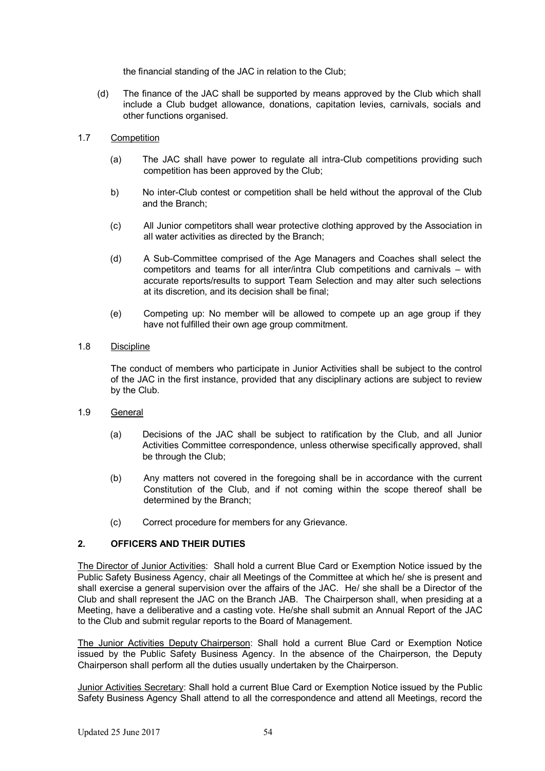the financial standing of the JAC in relation to the Club;

(d) The finance of the JAC shall be supported by means approved by the Club which shall include a Club budget allowance, donations, capitation levies, carnivals, socials and other functions organised.

### 1.7 Competition

- (a) The JAC shall have power to regulate all intra-Club competitions providing such competition has been approved by the Club;
- b) No inter-Club contest or competition shall be held without the approval of the Club and the Branch;
- (c) All Junior competitors shall wear protective clothing approved by the Association in all water activities as directed by the Branch;
- (d) A Sub-Committee comprised of the Age Managers and Coaches shall select the competitors and teams for all inter/intra Club competitions and carnivals – with accurate reports/results to support Team Selection and may alter such selections at its discretion, and its decision shall be final;
- (e) Competing up: No member will be allowed to compete up an age group if they have not fulfilled their own age group commitment.

# 1.8 Discipline

The conduct of members who participate in Junior Activities shall be subject to the control of the JAC in the first instance, provided that any disciplinary actions are subject to review by the Club.

- 1.9 General
	- (a) Decisions of the JAC shall be subject to ratification by the Club, and all Junior Activities Committee correspondence, unless otherwise specifically approved, shall be through the Club;
	- (b) Any matters not covered in the foregoing shall be in accordance with the current Constitution of the Club, and if not coming within the scope thereof shall be determined by the Branch;
	- (c) Correct procedure for members for any Grievance.

# **2. OFFICERS AND THEIR DUTIES**

The Director of Junior Activities: Shall hold a current Blue Card or Exemption Notice issued by the Public Safety Business Agency, chair all Meetings of the Committee at which he/ she is present and shall exercise a general supervision over the affairs of the JAC. He/ she shall be a Director of the Club and shall represent the JAC on the Branch JAB. The Chairperson shall, when presiding at a Meeting, have a deliberative and a casting vote. He/she shall submit an Annual Report of the JAC to the Club and submit regular reports to the Board of Management.

The Junior Activities Deputy Chairperson: Shall hold a current Blue Card or Exemption Notice issued by the Public Safety Business Agency. In the absence of the Chairperson, the Deputy Chairperson shall perform all the duties usually undertaken by the Chairperson.

Junior Activities Secretary: Shall hold a current Blue Card or Exemption Notice issued by the Public Safety Business Agency Shall attend to all the correspondence and attend all Meetings, record the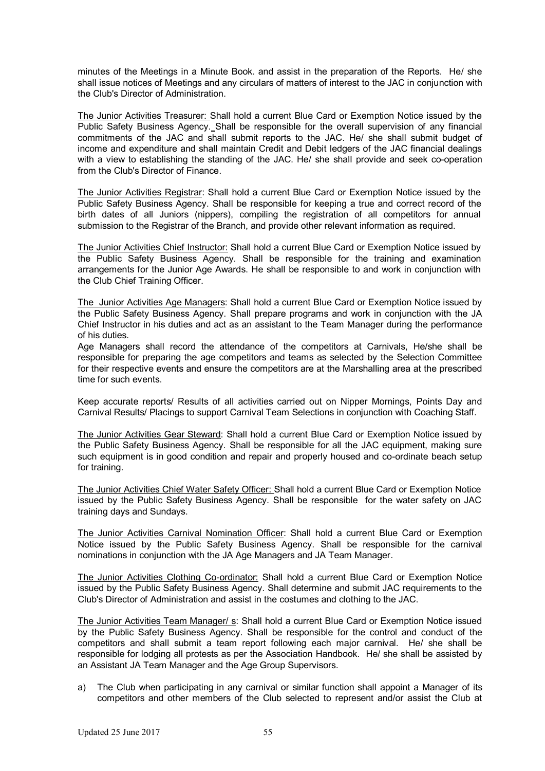minutes of the Meetings in a Minute Book. and assist in the preparation of the Reports. He/ she shall issue notices of Meetings and any circulars of matters of interest to the JAC in conjunction with the Club's Director of Administration.

The Junior Activities Treasurer: Shall hold a current Blue Card or Exemption Notice issued by the Public Safety Business Agency. Shall be responsible for the overall supervision of any financial commitments of the JAC and shall submit reports to the JAC. He/ she shall submit budget of income and expenditure and shall maintain Credit and Debit ledgers of the JAC financial dealings with a view to establishing the standing of the JAC. He/ she shall provide and seek co-operation from the Club's Director of Finance.

The Junior Activities Registrar: Shall hold a current Blue Card or Exemption Notice issued by the Public Safety Business Agency. Shall be responsible for keeping a true and correct record of the birth dates of all Juniors (nippers), compiling the registration of all competitors for annual submission to the Registrar of the Branch, and provide other relevant information as required.

The Junior Activities Chief Instructor: Shall hold a current Blue Card or Exemption Notice issued by the Public Safety Business Agency. Shall be responsible for the training and examination arrangements for the Junior Age Awards. He shall be responsible to and work in conjunction with the Club Chief Training Officer.

The Junior Activities Age Managers: Shall hold a current Blue Card or Exemption Notice issued by the Public Safety Business Agency. Shall prepare programs and work in conjunction with the JA Chief Instructor in his duties and act as an assistant to the Team Manager during the performance of his duties.

Age Managers shall record the attendance of the competitors at Carnivals, He/she shall be responsible for preparing the age competitors and teams as selected by the Selection Committee for their respective events and ensure the competitors are at the Marshalling area at the prescribed time for such events.

Keep accurate reports/ Results of all activities carried out on Nipper Mornings, Points Day and Carnival Results/ Placings to support Carnival Team Selections in conjunction with Coaching Staff.

The Junior Activities Gear Steward: Shall hold a current Blue Card or Exemption Notice issued by the Public Safety Business Agency. Shall be responsible for all the JAC equipment, making sure such equipment is in good condition and repair and properly housed and co-ordinate beach setup for training.

The Junior Activities Chief Water Safety Officer: Shall hold a current Blue Card or Exemption Notice issued by the Public Safety Business Agency. Shall be responsible for the water safety on JAC training days and Sundays.

The Junior Activities Carnival Nomination Officer: Shall hold a current Blue Card or Exemption Notice issued by the Public Safety Business Agency. Shall be responsible for the carnival nominations in conjunction with the JA Age Managers and JA Team Manager.

The Junior Activities Clothing Co-ordinator: Shall hold a current Blue Card or Exemption Notice issued by the Public Safety Business Agency. Shall determine and submit JAC requirements to the Club's Director of Administration and assist in the costumes and clothing to the JAC.

The Junior Activities Team Manager/ s: Shall hold a current Blue Card or Exemption Notice issued by the Public Safety Business Agency. Shall be responsible for the control and conduct of the competitors and shall submit a team report following each major carnival. He/ she shall be responsible for lodging all protests as per the Association Handbook. He/ she shall be assisted by an Assistant JA Team Manager and the Age Group Supervisors.

a) The Club when participating in any carnival or similar function shall appoint a Manager of its competitors and other members of the Club selected to represent and/or assist the Club at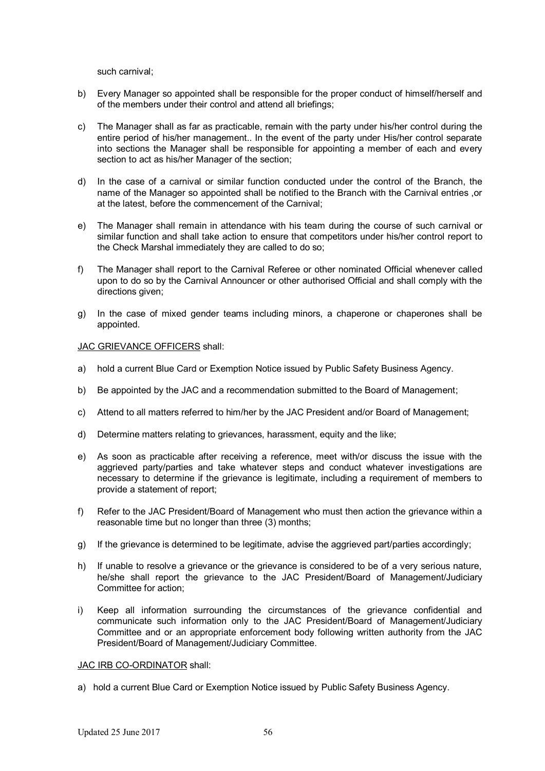such carnival;

- b) Every Manager so appointed shall be responsible for the proper conduct of himself/herself and of the members under their control and attend all briefings;
- c) The Manager shall as far as practicable, remain with the party under his/her control during the entire period of his/her management.. In the event of the party under His/her control separate into sections the Manager shall be responsible for appointing a member of each and every section to act as his/her Manager of the section;
- d) In the case of a carnival or similar function conducted under the control of the Branch, the name of the Manager so appointed shall be notified to the Branch with the Carnival entries ,or at the latest, before the commencement of the Carnival;
- e) The Manager shall remain in attendance with his team during the course of such carnival or similar function and shall take action to ensure that competitors under his/her control report to the Check Marshal immediately they are called to do so;
- f) The Manager shall report to the Carnival Referee or other nominated Official whenever called upon to do so by the Carnival Announcer or other authorised Official and shall comply with the directions given;
- g) In the case of mixed gender teams including minors, a chaperone or chaperones shall be appointed.

#### JAC GRIEVANCE OFFICERS shall:

- a) hold a current Blue Card or Exemption Notice issued by Public Safety Business Agency.
- b) Be appointed by the JAC and a recommendation submitted to the Board of Management;
- c) Attend to all matters referred to him/her by the JAC President and/or Board of Management;
- d) Determine matters relating to grievances, harassment, equity and the like;
- e) As soon as practicable after receiving a reference, meet with/or discuss the issue with the aggrieved party/parties and take whatever steps and conduct whatever investigations are necessary to determine if the grievance is legitimate, including a requirement of members to provide a statement of report;
- f) Refer to the JAC President/Board of Management who must then action the grievance within a reasonable time but no longer than three (3) months;
- g) If the grievance is determined to be legitimate, advise the aggrieved part/parties accordingly;
- h) If unable to resolve a grievance or the grievance is considered to be of a very serious nature, he/she shall report the grievance to the JAC President/Board of Management/Judiciary Committee for action;
- i) Keep all information surrounding the circumstances of the grievance confidential and communicate such information only to the JAC President/Board of Management/Judiciary Committee and or an appropriate enforcement body following written authority from the JAC President/Board of Management/Judiciary Committee.

### JAC IRB CO-ORDINATOR shall:

a) hold a current Blue Card or Exemption Notice issued by Public Safety Business Agency.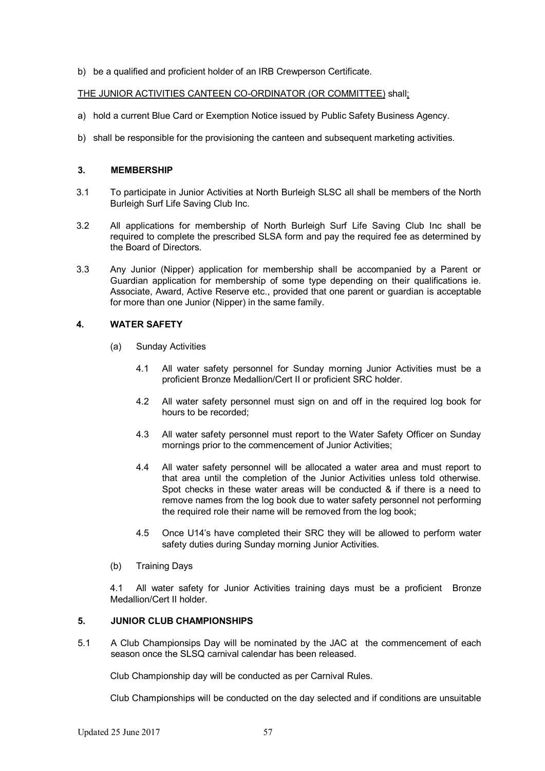b) be a qualified and proficient holder of an IRB Crewperson Certificate.

### THE JUNIOR ACTIVITIES CANTEEN CO-ORDINATOR (OR COMMITTEE) shall;

- a) hold a current Blue Card or Exemption Notice issued by Public Safety Business Agency.
- b) shall be responsible for the provisioning the canteen and subsequent marketing activities.

#### **3. MEMBERSHIP**

- 3.1 To participate in Junior Activities at North Burleigh SLSC all shall be members of the North Burleigh Surf Life Saving Club Inc.
- 3.2 All applications for membership of North Burleigh Surf Life Saving Club Inc shall be required to complete the prescribed SLSA form and pay the required fee as determined by the Board of Directors.
- 3.3 Any Junior (Nipper) application for membership shall be accompanied by a Parent or Guardian application for membership of some type depending on their qualifications ie. Associate, Award, Active Reserve etc., provided that one parent or guardian is acceptable for more than one Junior (Nipper) in the same family.

# **4. WATER SAFETY**

- (a) Sunday Activities
	- 4.1 All water safety personnel for Sunday morning Junior Activities must be a proficient Bronze Medallion/Cert II or proficient SRC holder.
	- 4.2 All water safety personnel must sign on and off in the required log book for hours to be recorded;
	- 4.3 All water safety personnel must report to the Water Safety Officer on Sunday mornings prior to the commencement of Junior Activities;
	- 4.4 All water safety personnel will be allocated a water area and must report to that area until the completion of the Junior Activities unless told otherwise. Spot checks in these water areas will be conducted & if there is a need to remove names from the log book due to water safety personnel not performing the required role their name will be removed from the log book;
	- 4.5 Once U14's have completed their SRC they will be allowed to perform water safety duties during Sunday morning Junior Activities.
- (b) Training Days

4.1 All water safety for Junior Activities training days must be a proficient Bronze Medallion/Cert II holder.

# **5. JUNIOR CLUB CHAMPIONSHIPS**

5.1 A Club Championsips Day will be nominated by the JAC at the commencement of each season once the SLSQ carnival calendar has been released.

Club Championship day will be conducted as per Carnival Rules.

Club Championships will be conducted on the day selected and if conditions are unsuitable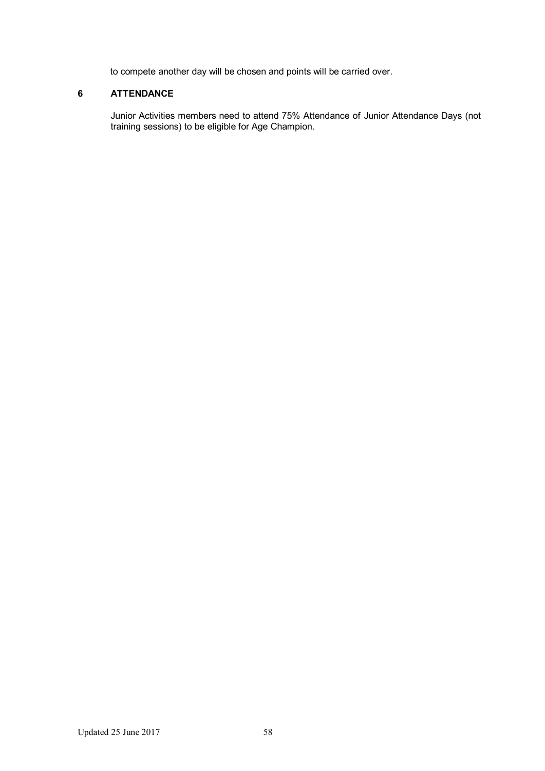to compete another day will be chosen and points will be carried over.

# **6 ATTENDANCE**

Junior Activities members need to attend 75% Attendance of Junior Attendance Days (not training sessions) to be eligible for Age Champion.